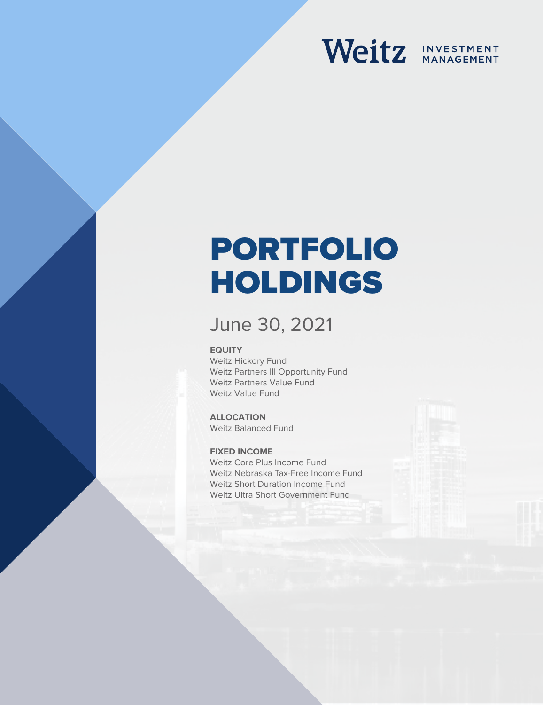# Weitz | INVESTMENT

# PORTFOLIO HOLDINGS

### June 30, 2021

#### **EQUITY**

Weitz Hickory Fund Weitz Partners III Opportunity Fund Weitz Partners Value Fund Weitz Value Fund

### **ALLOCATION**

Weitz Balanced Fund

#### **FIXED INCOME**

Weitz Core Plus Income Fund Weitz Nebraska Tax-Free Income Fund Weitz Short Duration Income Fund Weitz Ultra Short Government Fund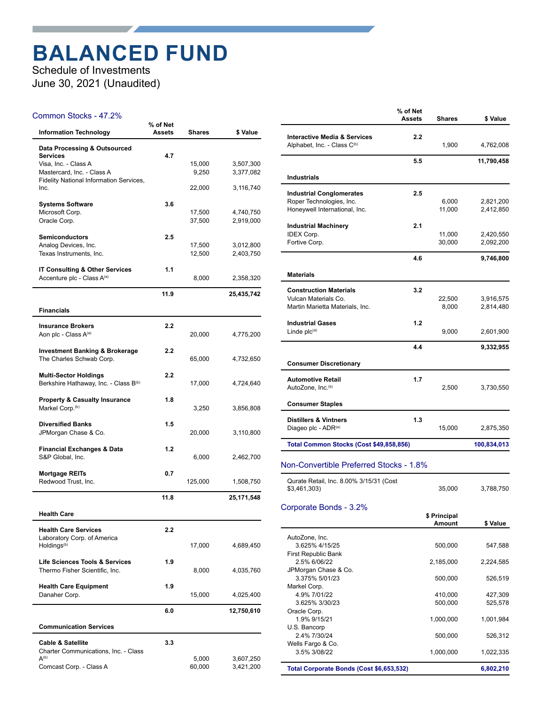### **BALANCED FUND**

Schedule of Investments June 30, 2021 (Unaudited)

#### Common Stocks - 47.2%

| <b>Information Technology</b>                              | % of Net<br><b>Assets</b> | Shares          | \$ Value               |
|------------------------------------------------------------|---------------------------|-----------------|------------------------|
| Data Processing & Outsourced                               |                           |                 |                        |
| <b>Services</b>                                            | 4.7                       |                 |                        |
| Visa, Inc. - Class A<br>Mastercard, Inc. - Class A         |                           | 15,000<br>9,250 | 3,507,300<br>3,377,082 |
| <b>Fidelity National Information Services,</b>             |                           |                 |                        |
| Inc.                                                       |                           | 22,000          | 3,116,740              |
| <b>Systems Software</b>                                    | 3.6                       |                 |                        |
| Microsoft Corp.                                            |                           | 17,500          | 4,740,750              |
| Oracle Corp.                                               |                           | 37,500          | 2,919,000              |
| <b>Semiconductors</b>                                      | 2.5                       |                 |                        |
| Analog Devices, Inc.                                       |                           | 17,500          | 3,012,800              |
| Texas Instruments, Inc.                                    |                           | 12,500          | 2,403,750              |
| IT Consulting & Other Services                             | 1.1                       |                 |                        |
| Accenture plc - Class A(a)                                 |                           | 8,000           | 2,358,320              |
|                                                            | 11.9                      |                 | 25,435,742             |
| <b>Financials</b>                                          |                           |                 |                        |
|                                                            |                           |                 |                        |
| <b>Insurance Brokers</b><br>Aon plc - Class A(a)           | 2.2                       | 20,000          | 4,775,200              |
|                                                            |                           |                 |                        |
| <b>Investment Banking &amp; Brokerage</b>                  | 2.2                       |                 |                        |
| The Charles Schwab Corp.                                   |                           | 65,000          | 4,732,650              |
| <b>Multi-Sector Holdings</b>                               | 2.2                       |                 |                        |
| Berkshire Hathaway, Inc. - Class B(b)                      |                           | 17,000          | 4,724,640              |
| <b>Property &amp; Casualty Insurance</b>                   | 1.8                       |                 |                        |
| Markel Corp. <sup>(b)</sup>                                |                           | 3,250           | 3,856,808              |
|                                                            |                           |                 |                        |
| <b>Diversified Banks</b><br>JPMorgan Chase & Co.           | 1.5                       | 20,000          | 3,110,800              |
|                                                            |                           |                 |                        |
| <b>Financial Exchanges &amp; Data</b>                      | 1.2                       |                 |                        |
| S&P Global, Inc.                                           |                           | 6,000           | 2,462,700              |
| <b>Mortgage REITs</b>                                      | 0.7                       |                 |                        |
| Redwood Trust, Inc.                                        |                           | 125,000         | 1,508,750              |
|                                                            | 11.8                      |                 | 25,171,548             |
| <b>Health Care</b>                                         |                           |                 |                        |
|                                                            |                           |                 |                        |
| <b>Health Care Services</b><br>Laboratory Corp. of America | 2.2                       |                 |                        |
| Holdings <sup>(b)</sup>                                    |                           | 17,000          | 4,689,450              |
| <b>Life Sciences Tools &amp; Services</b>                  | 1.9                       |                 |                        |
| Thermo Fisher Scientific, Inc.                             |                           | 8,000           | 4,035,760              |
|                                                            |                           |                 |                        |
| <b>Health Care Equipment</b>                               | 1.9                       | 15,000          |                        |
| Danaher Corp.                                              |                           |                 | 4,025,400              |
|                                                            | 6.0                       |                 | 12,750,610             |
| <b>Communication Services</b>                              |                           |                 |                        |
| <b>Cable &amp; Satellite</b>                               | 3.3                       |                 |                        |
| Charter Communications, Inc. - Class                       |                           |                 |                        |
| $A^{(b)}$                                                  |                           | 5,000           | 3,607,250              |
| Comcast Corp. - Class A                                    |                           | 60,000          | 3,421,200              |

|                                                                        | % of Net<br><b>Assets</b> | <b>Shares</b> | \$ Value    |
|------------------------------------------------------------------------|---------------------------|---------------|-------------|
| <b>Interactive Media &amp; Services</b><br>Alphabet, Inc. - Class C(b) | 2.2                       | 1,900         | 4,762,008   |
|                                                                        | 5.5                       |               | 11,790,458  |
| <b>Industrials</b>                                                     |                           |               |             |
| <b>Industrial Conglomerates</b>                                        | 2.5                       |               |             |
| Roper Technologies, Inc.                                               |                           | 6,000         | 2,821,200   |
| Honeywell International, Inc.                                          |                           | 11,000        | 2,412,850   |
| <b>Industrial Machinery</b>                                            | 2.1                       |               |             |
| <b>IDEX Corp.</b>                                                      |                           | 11,000        | 2,420,550   |
| Fortive Corp.                                                          |                           | 30,000        | 2,092,200   |
|                                                                        | 4.6                       |               | 9,746,800   |
| <b>Materials</b>                                                       |                           |               |             |
| <b>Construction Materials</b>                                          | 3.2                       |               |             |
| Vulcan Materials Co.                                                   |                           | 22,500        | 3,916,575   |
| Martin Marietta Materials, Inc.                                        |                           | 8,000         | 2,814,480   |
| <b>Industrial Gases</b>                                                | 1.2                       |               |             |
| Linde plc(a)                                                           |                           | 9,000         | 2,601,900   |
|                                                                        | 4.4                       |               | 9,332,955   |
| <b>Consumer Discretionary</b>                                          |                           |               |             |
| <b>Automotive Retail</b>                                               | 1.7                       |               |             |
| AutoZone, Inc.(b)                                                      |                           | 2,500         | 3,730,550   |
| <b>Consumer Staples</b>                                                |                           |               |             |
| <b>Distillers &amp; Vintners</b>                                       | 1.3                       |               |             |
| Diageo plc - ADR(a)                                                    |                           | 15,000        | 2,875,350   |
| Total Common Stocks (Cost \$49,858,856)                                |                           |               | 100,834,013 |

#### Non-Convertible Preferred Stocks - 1.8%

| Qurate Retail, Inc. 8.00% 3/15/31 (Cost |        |           |
|-----------------------------------------|--------|-----------|
| \$3,461,303)                            | 35,000 | 3.788.750 |

#### Corporate Bonds - 3.2%

|                                          | \$ Principal<br>Amount | \$ Value  |
|------------------------------------------|------------------------|-----------|
| AutoZone, Inc.                           |                        |           |
| 3.625% 4/15/25                           | 500.000                | 547.588   |
| <b>First Republic Bank</b>               |                        |           |
| 2.5% 6/06/22                             | 2,185,000              | 2,224,585 |
| JPMorgan Chase & Co.                     |                        |           |
| 3.375% 5/01/23                           | 500.000                | 526.519   |
| Markel Corp.                             |                        |           |
| 4.9% 7/01/22                             | 410,000                | 427,309   |
| 3.625% 3/30/23                           | 500.000                | 525.578   |
| Oracle Corp.                             |                        |           |
| 1.9% 9/15/21                             | 1,000,000              | 1,001,984 |
| U.S. Bancorp                             |                        |           |
| 2.4% 7/30/24                             | 500,000                | 526,312   |
| Wells Fargo & Co.                        |                        |           |
| 3.5% 3/08/22                             | 1,000,000              | 1,022,335 |
| Total Corporate Bonds (Cost \$6,653,532) |                        | 6,802,210 |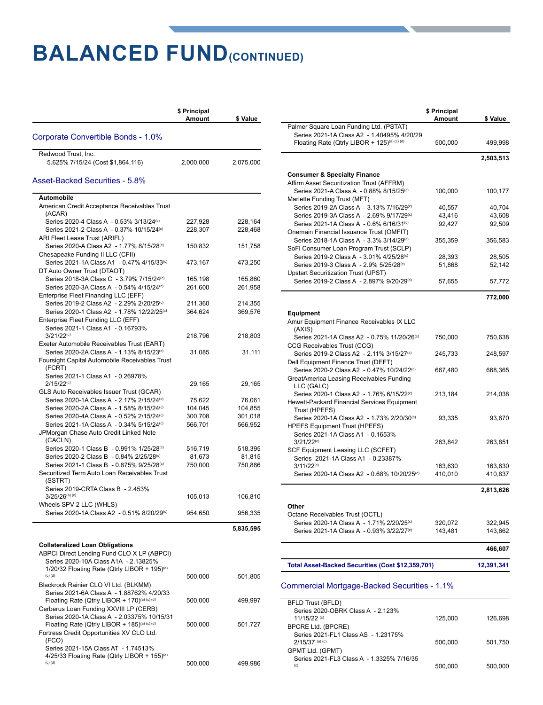### **BALANCED FUND(CONTINUED)**

|                                                                                           | \$ Principal<br>Amount | \$ Value  |
|-------------------------------------------------------------------------------------------|------------------------|-----------|
| Corporate Convertible Bonds - 1.0%                                                        |                        |           |
| Redwood Trust, Inc.                                                                       |                        |           |
| 5.625% 7/15/24 (Cost \$1,864,116)                                                         | 2,000,000              | 2,075,000 |
| Asset-Backed Securities - 5.8%                                                            |                        |           |
| Automobile                                                                                |                        |           |
| American Credit Acceptance Receivables Trust                                              |                        |           |
| (ACAR)<br>Series 2020-4 Class A - 0.53% 3/13/24 <sup>(c)</sup>                            | 227,928                | 228,164   |
| Series 2021-2 Class A - 0.37% 10/15/24 <sup>(c)</sup>                                     | 228,307                | 228,468   |
| ARI Fleet Lease Trust (ARIFL)                                                             |                        |           |
| Series 2020-A Class A2 - 1.77% 8/15/28 <sup>(c)</sup>                                     | 150,832                | 151,758   |
| Chesapeake Funding II LLC (CFII)                                                          |                        |           |
| Series 2021-1A Class A1 - 0.47% 4/15/33 <sup>(c)</sup>                                    | 473,167                | 473,250   |
| DT Auto Owner Trust (DTAOT)<br>Series 2018-3A Class C - 3.79% 7/15/24(c)                  | 165,198                | 165,860   |
| Series 2020-3A Class A - 0.54% 4/15/24 <sup>(c)</sup>                                     | 261,600                | 261,958   |
| Enterprise Fleet Financing LLC (EFF)                                                      |                        |           |
| Series 2019-2 Class A2 - 2.29% 2/20/25 <sup>(c)</sup>                                     | 211,360                | 214,355   |
| Series 2020-1 Class A2 - 1.78% 12/22/25 <sup>(c)</sup>                                    | 364,624                | 369,576   |
| Enterprise Fleet Funding LLC (EFF)                                                        |                        |           |
| Series 2021-1 Class A1 - 0.16793%<br>$3/21/22^{(c)}$                                      | 218,796                | 218,803   |
| Exeter Automobile Receivables Trust (EART)                                                |                        |           |
| Series 2020-2A Class A - 1.13% 8/15/23 <sup>(c)</sup>                                     | 31,085                 | 31,111    |
| Foursight Capital Automobile Receivables Trust<br>(FCRT)                                  |                        |           |
| Series 2021-1 Class A1 - 0.26978%                                                         |                        |           |
| $2/15/22^{(c)}$<br>GLS Auto Receivables Issuer Trust (GCAR)                               | 29,165                 | 29,165    |
| Series 2020-1A Class A - 2.17% 2/15/24 <sup>(c)</sup>                                     | 75,622                 | 76,061    |
| Series 2020-2A Class A - 1.58% 8/15/24(c)                                                 | 104,045                | 104,855   |
| Series 2020-4A Class A - 0.52% 2/15/24 <sup>(c)</sup>                                     | 300,708                | 301,018   |
| Series 2021-1A Class A - 0.34% 5/15/24 <sup>(c)</sup>                                     | 566,701                | 566,952   |
| JPMorgan Chase Auto Credit Linked Note<br>(CACLN)                                         |                        |           |
| Series 2020-1 Class B - 0.991% 1/25/28 <sup>(c)</sup>                                     | 516,719                | 518,395   |
| Series 2020-2 Class B - 0.84% 2/25/28 <sup>(c)</sup>                                      | 81,673                 | 81,815    |
| Series 2021-1 Class B - 0.875% 9/25/28 <sup>(c)</sup>                                     | 750,000                | 750,886   |
| Securitized Term Auto Loan Receivables Trust<br>(SSTRT)                                   |                        |           |
| Series 2019-CRTA Class B - 2.453%                                                         |                        |           |
| $3/25/26$ <sup>(a) (c)</sup>                                                              | 105,013                | 106,810   |
| Wheels SPV 2 LLC (WHLS)                                                                   |                        |           |
| Series 2020-1A Class A2 - 0.51% 8/20/29 <sup>(c)</sup>                                    | 954,650                | 956,335   |
|                                                                                           |                        | 5,835,595 |
| <b>Collateralized Loan Obligations</b>                                                    |                        |           |
| ABPCI Direct Lending Fund CLO X LP (ABPCI)                                                |                        |           |
| Series 2020-10A Class A1A - 2.13825%                                                      |                        |           |
| 1/20/32 Floating Rate (Qtrly LIBOR + 195) <sup>(a)</sup><br>$(c)$ $(d)$                   |                        |           |
| Blackrock Rainier CLO VI Ltd. (BLKMM)                                                     | 500,000                | 501,805   |
| Series 2021-6A Class A - 1.88762% 4/20/33                                                 |                        |           |
| Floating Rate (Qtrly LIBOR + 170)(a) (c) (d)                                              | 500,000                | 499,997   |
| Cerberus Loan Funding XXVIII LP (CERB)                                                    |                        |           |
| Series 2020-1A Class A - 2.03375% 10/15/31                                                |                        |           |
| Floating Rate (Qtrly LIBOR + 185)(a) (c) (d)<br>Fortress Credit Opportunities XV CLO Ltd. | 500,000                | 501,727   |
| (FCO)                                                                                     |                        |           |
| Series 2021-15A Class AT - 1.74513%                                                       |                        |           |
| 4/25/33 Floating Rate (Qtrly LIBOR + 155) <sup>(a)</sup>                                  |                        |           |
| (c) (d)                                                                                   | 500,000                | 499,986   |

|                                                                                                   | \$ Principal<br>Amount | \$ Value   |
|---------------------------------------------------------------------------------------------------|------------------------|------------|
| Palmer Square Loan Funding Ltd. (PSTAT)                                                           |                        |            |
| Series 2021-1A Class A2 - 1.40495% 4/20/29<br>Floating Rate (Qtrly LIBOR + 125)(a) (c) (d)        | 500,000                | 499,998    |
|                                                                                                   |                        | 2,503,513  |
|                                                                                                   |                        |            |
| <b>Consumer &amp; Specialty Finance</b>                                                           |                        |            |
| Affirm Asset Securitization Trust (AFFRM)<br>Series 2021-A Class A - 0.88% 8/15/25 <sup>(c)</sup> | 100,000                | 100,177    |
| Marlette Funding Trust (MFT)                                                                      |                        |            |
| Series 2019-2A Class A - 3.13% 7/16/29 <sup>(c)</sup>                                             | 40,557                 | 40,704     |
| Series 2019-3A Class A - 2.69% 9/17/29 <sup>(c)</sup>                                             | 43,416                 | 43,608     |
| Series 2021-1A Class A - 0.6% 6/16/31 <sup>(c)</sup>                                              | 92,427                 | 92,509     |
| Onemain Financial Issuance Trust (OMFIT)                                                          |                        |            |
| Series 2018-1A Class A - 3.3% 3/14/29 <sup>(c)</sup>                                              | 355,359                | 356,583    |
| SoFi Consumer Loan Program Trust (SCLP)                                                           |                        |            |
| Series 2019-2 Class A - 3.01% 4/25/28 <sup>(c)</sup>                                              | 28,393                 | 28,505     |
| Series 2019-3 Class A - 2.9% 5/25/28 <sup>(c)</sup>                                               | 51,868                 | 52,142     |
| <b>Upstart Securitization Trust (UPST)</b><br>Series 2019-2 Class A - 2.897% 9/20/29(c)           |                        |            |
|                                                                                                   | 57,655                 | 57,772     |
|                                                                                                   |                        | 772,000    |
|                                                                                                   |                        |            |
| <b>Equipment</b>                                                                                  |                        |            |
| Amur Equipment Finance Receivables IX LLC                                                         |                        |            |
| (AXIS)                                                                                            |                        |            |
| Series 2021-1A Class A2 - 0.75% 11/20/26 <sup>(c)</sup>                                           | 750,000                | 750,638    |
| CCG Receivables Trust (CCG)<br>Series 2019-2 Class A2 - 2.11% 3/15/27(c)                          | 245,733                | 248,597    |
| Dell Equipment Finance Trust (DEFT)                                                               |                        |            |
| Series 2020-2 Class A2 - 0.47% 10/24/22(c)                                                        | 667,480                | 668,365    |
| GreatAmerica Leasing Receivables Funding                                                          |                        |            |
| LLC (GALC)                                                                                        |                        |            |
| Series 2020-1 Class A2 - 1.76% 6/15/22 <sup>(c)</sup>                                             | 213,184                | 214,038    |
| Hewett-Packard Financial Services Equipment                                                       |                        |            |
| Trust (HPEFS)                                                                                     |                        |            |
| Series 2020-1A Class A2 - 1.73% 2/20/30 <sup>(c)</sup>                                            | 93,335                 | 93,670     |
| <b>HPEFS Equipment Trust (HPEFS)</b><br>Series 2021-1A Class A1 - 0.1653%                         |                        |            |
| $3/21/22^{(c)}$                                                                                   | 263,842                | 263,851    |
| SCF Equipment Leasing LLC (SCFET)                                                                 |                        |            |
| Series 2021-1A Class A1 - 0.23387%                                                                |                        |            |
| $3/11/22^{(c)}$                                                                                   | 163,630                | 163,630    |
| Series 2020-1A Class A2 - 0.68% 10/20/25 <sup>(c)</sup>                                           | 410,010                | 410,837    |
|                                                                                                   |                        |            |
|                                                                                                   |                        | 2,813,626  |
| Other                                                                                             |                        |            |
| Octane Receivables Trust (OCTL)                                                                   |                        |            |
| Series 2020-1A Class A - 1.71% 2/20/25 <sup>(c)</sup>                                             | 320,072                | 322,945    |
| Series 2021-1A Class A - 0.93% 3/22/27 <sup>(c)</sup>                                             | 143,481                | 143,662    |
|                                                                                                   |                        |            |
|                                                                                                   |                        | 466,607    |
| Total Asset-Backed Securities (Cost \$12,359,701)                                                 |                        | 12,391,341 |
|                                                                                                   |                        |            |
| Commercial Mortgage-Backed Securities - 1.1%                                                      |                        |            |
| BFLD Trust (BFLD)                                                                                 |                        |            |
| Series 2020-OBRK Class A - 2.123%                                                                 |                        |            |
| 11/15/22 <sup>(c)</sup>                                                                           | 125,000                | 126,698    |
| BPCRE Ltd. (BPCRE)                                                                                |                        |            |
| Series 2021-FL1 Class AS - 1.23175%                                                               |                        |            |
| $2/15/37$ (a) (c)                                                                                 | 500,000                | 501,750    |
| GPMT Ltd. (GPMT)<br>Series 2021-FL3 Class A - 1.3325% 7/16/35                                     |                        |            |
| (c)                                                                                               | 500,000                | 500,000    |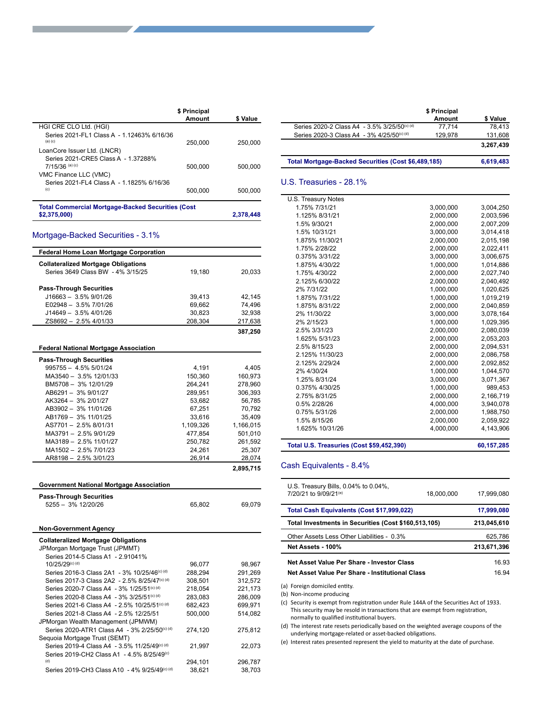|                                                                          | \$ Principal |           |
|--------------------------------------------------------------------------|--------------|-----------|
|                                                                          | Amount       | \$ Value  |
| HGI CRE CLO Ltd. (HGI)                                                   |              |           |
| Series 2021-FL1 Class A - 1 12463% 6/16/36<br>$(a)$ $(c)$                | 250,000      | 250,000   |
| LoanCore Issuer Ltd. (LNCR)                                              |              |           |
| Series 2021-CRE5 Class A - 1.37288%<br>$7/15/36$ (a) (c)                 | 500,000      | 500.000   |
| VMC Finance LLC (VMC)<br>Series 2021-FL4 Class A - 1.1825% 6/16/36       |              |           |
| (c)                                                                      | 500,000      | 500.000   |
| <b>Total Commercial Mortgage-Backed Securities (Cost</b><br>\$2,375,000) |              | 2.378.448 |

#### Mortgage-Backed Securities - 3.1%

| <b>Federal Home Loan Mortgage Corporation</b>            |                   |                   |
|----------------------------------------------------------|-------------------|-------------------|
| <b>Collateralized Mortgage Obligations</b>               |                   |                   |
| Series 3649 Class BW - 4% 3/15/25                        | 19,180            | 20,033            |
|                                                          |                   |                   |
| <b>Pass-Through Securities</b>                           |                   |                   |
| $J16663 - 3.5\% 9/01/26$                                 | 39,413            | 42,145            |
| E02948 - 3.5% 7/01/26                                    | 69,662            | 74,496            |
| J14649 - 3.5% 4/01/26                                    | 30,823            | 32,938            |
| ZS8692 - 2.5% 4/01/33                                    | 208,304           | 217,638           |
|                                                          |                   | 387,250           |
|                                                          |                   |                   |
| <b>Federal National Mortgage Association</b>             |                   |                   |
| <b>Pass-Through Securities</b>                           |                   |                   |
| 995755 - 4.5% 5/01/24                                    | 4,191             | 4,405             |
| MA3540 - 3.5% 12/01/33                                   | 150,360           | 160,973           |
| BM5708 - 3% 12/01/29                                     | 264,241           | 278,960           |
| AB6291 - 3% 9/01/27                                      | 289,951           | 306,393           |
| AK3264 - 3% 2/01/27                                      | 53,682            | 56,785            |
| AB3902 - 3% 11/01/26                                     | 67,251            | 70,792            |
| AB1769 - 3% 11/01/25                                     | 33,616            | 35,409            |
| AS7701-2.5% 8/01/31                                      | 1,109,326         | 1,166,015         |
| MA3791-2.5% 9/01/29                                      | 477,854           | 501,010           |
| MA3189 - 2.5% 11/01/27                                   | 250,782           | 261,592           |
| MA1502 - 2.5% 7/01/23                                    | 24,261            | 25,307            |
| AR8198 - 2.5% 3/01/23                                    | 26,914            | 28,074            |
|                                                          |                   | 2,895,715         |
|                                                          |                   |                   |
| <b>Government National Mortgage Association</b>          |                   |                   |
| <b>Pass-Through Securities</b>                           |                   |                   |
| 5255 - 3% 12/20/26                                       | 65,802            | 69,079            |
|                                                          |                   |                   |
|                                                          |                   |                   |
| <b>Non-Government Agency</b>                             |                   |                   |
| <b>Collateralized Mortgage Obligations</b>               |                   |                   |
| JPMorgan Mortgage Trust (JPMMT)                          |                   |                   |
| Series 2014-5 Class A1 - 2.91041%                        |                   |                   |
| 10/25/29(c) (d)                                          | 96,077            | 98,967            |
| Series 2016-3 Class 2A1 - 3% 10/25/46 <sup>(c) (d)</sup> | 288,294           | 291,269           |
| Series 2017-3 Class 2A2 - 2.5% 8/25/47(c) (d)            | 308,501           | 312,572           |
| Series 2020-7 Class A4 - 3% 1/25/51(c) (d)               | 218,054           | 221,173           |
| Series 2020-8 Class A4 - 3% 3/25/51(c) (d)               | 283,083           | 286,009           |
| Series 2021-6 Class A4 - 2.5% 10/25/51(c) (d)            | 682,423           | 699,971           |
| Series 2021-8 Class A4 - 2.5% 12/25/51                   | 500,000           | 514,082           |
| JPMorgan Wealth Management (JPMWM)                       |                   |                   |
| Series 2020-ATR1 Class A4 - 3% 2/25/50(c) (d)            | 274,120           | 275,812           |
| Sequoia Mortgage Trust (SEMT)                            |                   |                   |
| Series 2019-4 Class A4 - 3.5% 11/25/49(c) (d)            | 21,997            | 22,073            |
| Series 2019-CH2 Class A1 - 4.5% 8/25/49 <sup>(c)</sup>   |                   |                   |
|                                                          |                   |                   |
| (d)<br>Series 2019-CH3 Class A10 - 4% 9/25/49(c) (d)     | 294,101<br>38.621 | 296,787<br>38.703 |

|                                                        | \$ Principal |           |
|--------------------------------------------------------|--------------|-----------|
|                                                        | Amount       | \$ Value  |
| Series 2020-2 Class A4 - 3.5% 3/25/50(c) (d)           | 77.714       | 78.413    |
| Series 2020-3 Class A4 - 3% 4/25/50 <sup>(c) (d)</sup> | 129,978      | 131,608   |
|                                                        |              | 3,267,439 |
| Total Mortgage-Backed Securities (Cost \$6,489,185)    |              | 6,619,483 |

#### U.S. Treasuries - 28.1%

| Total U.S. Treasuries (Cost \$59,452,390) |                        | 60, 157, 285           |
|-------------------------------------------|------------------------|------------------------|
| 1.625% 10/31/26                           | 4,000,000              | 4,143,906              |
| 1.5% 8/15/26                              | 2,000,000              | 2,059,922              |
| 0.75% 5/31/26                             | 2,000,000              | 1,988,750              |
| 0.5% 2/28/26                              | 4,000,000              | 3,940,078              |
| 2.75% 8/31/25                             | 2,000,000              | 2,166,719              |
| 0.375% 4/30/25                            | 1,000,000              | 989,453                |
| 1.25% 8/31/24                             | 3.000.000              | 3,071,367              |
| 2% 4/30/24                                | 1,000,000              | 1,044,570              |
| 2.125% 2/29/24                            | 2,000,000              | 2,092,852              |
| 2.125% 11/30/23                           | 2,000,000              | 2,086,758              |
| 2.5% 8/15/23                              | 2.000.000              | 2,094,531              |
| 1.625% 5/31/23                            | 2,000,000              | 2,053,203              |
| 2.5% 3/31/23                              | 2,000,000              | 2,080,039              |
| 2% 2/15/23                                | 1,000,000              | 1,029,395              |
| 2% 11/30/22                               | 3,000,000              | 3,078,164              |
| 1.875% 8/31/22                            | 2,000,000              | 2,040,859              |
| 1.875% 7/31/22                            | 1,000,000              | 1,019,219              |
| 2% 7/31/22                                | 1.000.000              | 1,020,625              |
| 2.125% 6/30/22                            | 2.000.000              | 2,040,492              |
| 1.75% 4/30/22                             | 2,000,000              | 2,027,740              |
| 1.875% 4/30/22                            | 1,000,000              | 1,014,886              |
| 0.375% 3/31/22                            | 3,000,000              | 3,006,675              |
| 1.75% 2/28/22                             | 2,000,000              | 2,022,411              |
| 1.875% 11/30/21                           | 2,000,000              | 2,015,198              |
| 1.5% 10/31/21                             | 3,000,000              | 3,014,418              |
| 1.5% 9/30/21                              | 2,000,000              | 2,007,209              |
| 1.125% 8/31/21                            | 3,000,000<br>2.000.000 | 3,004,250<br>2,003,596 |
| 1.75% 7/31/21                             |                        |                        |

#### Cash Equivalents - 8.4%

| U.S. Treasury Bills, $0.04\%$ to $0.04\%$ .<br>7/20/21 to 9/09/21 <sup>(e)</sup> | 18.000.000 | 17,999,080  |
|----------------------------------------------------------------------------------|------------|-------------|
| Total Cash Equivalents (Cost \$17,999,022)                                       |            | 17,999,080  |
| Total Investments in Securities (Cost \$160,513,105)                             |            | 213.045.610 |
| Other Assets Less Other Liabilities - 0.3%                                       |            | 625,786     |
| Net Assets - 100%                                                                |            | 213.671.396 |
| Net Asset Value Per Share - Investor Class                                       |            | 16.93       |
| Net Asset Value Per Share - Institutional Class                                  |            | 16.94       |
|                                                                                  |            |             |

(a) Foreign domiciled entity.

(b) Non-income producing

(c) Security is exempt from registration under Rule 144A of the Securities Act of 1933. This security may be resold in transactions that are exempt from registration, normally to qualified institutional buyers.

(d) The interest rate resets periodically based on the weighted average coupons of the underlying mortgage-related or asset-backed obligations.

(e) Interest rates presented represent the yield to maturity at the date of purchase.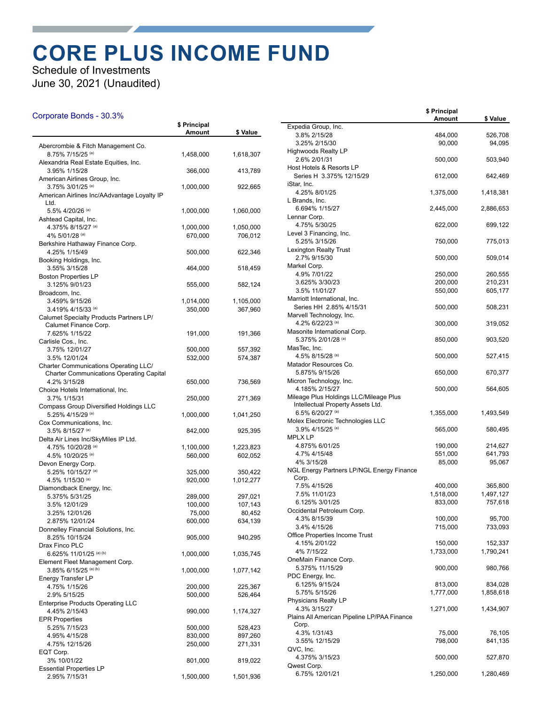### **CORE PLUS INCOME FUND**

Schedule of Investments June 30, 2021 (Unaudited)

#### Corporate Bonds - 30.3%

|                                                            | \$ Principal       |           |
|------------------------------------------------------------|--------------------|-----------|
|                                                            | <b>Amount</b>      | \$ Value  |
| Abercrombie & Fitch Management Co.                         |                    |           |
| 8.75% 7/15/25 (a)                                          | 1,458,000          | 1,618,307 |
| Alexandria Real Estate Equities, Inc.                      |                    |           |
| 3.95% 1/15/28<br>American Airlines Group, Inc.             | 366,000            | 413,789   |
| 3.75% 3/01/25 (a)                                          | 1,000,000          | 922,665   |
| American Airlines Inc/AAdvantage Loyalty IP                |                    |           |
| Ltd.                                                       |                    |           |
| 5.5% 4/20/26 (a)                                           | 1,000,000          | 1,060,000 |
| Ashtead Capital, Inc.<br>4.375% 8/15/27 (a)                | 1,000,000          | 1,050,000 |
| 4% 5/01/28 (a)                                             | 670,000            | 706,012   |
| Berkshire Hathaway Finance Corp.                           |                    |           |
| 4.25% 1/15/49                                              | 500,000            | 622,346   |
| Booking Holdings, Inc.                                     |                    |           |
| 3.55% 3/15/28                                              | 464,000            | 518,459   |
| <b>Boston Properties LP</b><br>3.125% 9/01/23              | 555,000            | 582,124   |
| Broadcom, Inc.                                             |                    |           |
| 3.459% 9/15/26                                             | 1,014,000          | 1,105,000 |
| 3.419% 4/15/33 (a)                                         | 350,000            | 367,960   |
| Calumet Specialty Products Partners LP/                    |                    |           |
| Calumet Finance Corp.                                      |                    |           |
| 7.625% 1/15/22<br>Carlisle Cos., Inc.                      | 191,000            | 191,366   |
| 3.75% 12/01/27                                             | 500,000            | 557,392   |
| 3.5% 12/01/24                                              | 532,000            | 574,387   |
| <b>Charter Communications Operating LLC/</b>               |                    |           |
| <b>Charter Communications Operating Capital</b>            |                    |           |
| 4.2% 3/15/28<br>Choice Hotels International, Inc.          | 650,000            | 736,569   |
| 3.7% 1/15/31                                               | 250,000            | 271,369   |
| Compass Group Diversified Holdings LLC                     |                    |           |
| 5.25% 4/15/29 (a)                                          | 1,000,000          | 1,041,250 |
| Cox Communications, Inc.                                   |                    |           |
| 3.5% 8/15/27 (a)                                           | 842,000            | 925,395   |
| Delta Air Lines Inc/SkyMiles IP Ltd.<br>4.75% 10/20/28 (a) | 1,100,000          | 1,223,823 |
| 4.5% 10/20/25 (a)                                          | 560,000            | 602,052   |
| Devon Energy Corp.                                         |                    |           |
| 5.25% 10/15/27 (a)                                         | 325,000            | 350,422   |
| 4.5% 1/15/30 (a)                                           | 920,000            | 1,012,277 |
| Diamondback Energy, Inc.<br>5.375% 5/31/25                 |                    | 297,021   |
| 3.5% 12/01/29                                              | 289,000<br>100,000 | 107,143   |
| 3.25% 12/01/26                                             | 75,000             | 80,452    |
| 2.875% 12/01/24                                            | 600,000            | 634,139   |
| Donnelley Financial Solutions, Inc.                        |                    |           |
| 8.25% 10/15/24                                             | 905,000            | 940,295   |
| Drax Finco PLC<br>6.625% 11/01/25 (a) (b)                  | 1,000,000          | 1,035,745 |
| Element Fleet Management Corp.                             |                    |           |
| 3.85% 6/15/25 (a) (b)                                      | 1,000,000          | 1,077,142 |
| Energy Transfer LP                                         |                    |           |
| 4.75% 1/15/26                                              | 200,000            | 225,367   |
| 2.9% 5/15/25                                               | 500,000            | 526,464   |
| Enterprise Products Operating LLC<br>4.45% 2/15/43         | 990,000            | 1,174,327 |
| <b>EPR Properties</b>                                      |                    |           |
| 5.25% 7/15/23                                              | 500,000            | 528,423   |
| 4.95% 4/15/28                                              | 830,000            | 897,260   |
| 4.75% 12/15/26                                             | 250,000            | 271,331   |
| EQT Corp.                                                  |                    |           |
| 3% 10/01/22<br><b>Essential Properties LP</b>              | 801,000            | 819,022   |
| 2.95% 7/15/31                                              | 1,500,000          | 1,501,936 |
|                                                            |                    |           |

|                                                       | \$ Principal<br>Amount | \$ Value  |
|-------------------------------------------------------|------------------------|-----------|
| Expedia Group, Inc.                                   |                        |           |
| 3.8% 2/15/28                                          | 484,000                | 526,708   |
| 3.25% 2/15/30                                         | 90,000                 | 94,095    |
| <b>Highwoods Realty LP</b>                            |                        |           |
| 2.6% 2/01/31                                          | 500,000                | 503,940   |
| Host Hotels & Resorts LP                              |                        |           |
| Series H 3.375% 12/15/29                              | 612,000                | 642,469   |
| iStar, Inc.                                           |                        |           |
| 4.25% 8/01/25                                         | 1,375,000              | 1,418,381 |
| L Brands, Inc.                                        |                        |           |
| 6.694% 1/15/27                                        | 2,445,000              | 2,886,653 |
| Lennar Corp.                                          |                        |           |
| 4.75% 5/30/25                                         | 622,000                | 699,122   |
| Level 3 Financing, Inc.                               |                        |           |
| 5.25% 3/15/26                                         | 750,000                | 775,013   |
| <b>Lexington Realty Trust</b>                         |                        |           |
| 2.7% 9/15/30                                          | 500,000                | 509,014   |
| Markel Corp.                                          |                        |           |
| 4.9% 7/01/22                                          | 250,000                | 260,555   |
| 3.625% 3/30/23                                        | 200,000                | 210,231   |
| 3.5% 11/01/27                                         | 550,000                | 605,177   |
| Marriott International, Inc.                          |                        |           |
| Series HH 2.85% 4/15/31                               | 500,000                | 508,231   |
| Marvell Technology, Inc.                              |                        |           |
| 4.2% 6/22/23 (a)                                      | 300,000                | 319,052   |
| Masonite International Corp.                          |                        |           |
| 5.375% 2/01/28 (a)                                    | 850,000                | 903,520   |
| MasTec, Inc.                                          |                        |           |
| 4.5% 8/15/28 (a)                                      | 500,000                | 527,415   |
| Matador Resources Co.                                 |                        |           |
| 5.875% 9/15/26                                        | 650,000                | 670,377   |
| Micron Technology, Inc.                               |                        |           |
| 4.185% 2/15/27                                        | 500,000                | 564,605   |
| Mileage Plus Holdings LLC/Mileage Plus                |                        |           |
| Intellectual Property Assets Ltd.<br>6.5% 6/20/27 (a) |                        |           |
| Molex Electronic Technologies LLC                     | 1,355,000              | 1,493,549 |
| 3.9% 4/15/25 (a)                                      | 565,000                | 580,495   |
| <b>MPLX LP</b>                                        |                        |           |
| 4.875% 6/01/25                                        | 190,000                | 214,627   |
| 4.7% 4/15/48                                          | 551,000                | 641,793   |
| 4% 3/15/28                                            | 85,000                 | 95,067    |
| NGL Energy Partners LP/NGL Energy Finance             |                        |           |
| Corp.                                                 |                        |           |
| 7.5% 4/15/26                                          | 400,000                | 365,800   |
| 7.5% 11/01/23                                         | 1,518,000              | 1,497,127 |
| 6.125% 3/01/25                                        | 833,000                | 757,618   |
| Occidental Petroleum Corp.                            |                        |           |
| 4.3% 8/15/39                                          | 100,000                | 95,700    |
| 3.4% 4/15/26                                          | 715,000                | 733,093   |
| Office Properties Income Trust                        |                        |           |
| 4.15% 2/01/22                                         | 150,000                | 152,337   |
| 4% 7/15/22                                            | 1,733,000              | 1,790,241 |
| OneMain Finance Corp.                                 |                        |           |
| 5.375% 11/15/29                                       | 900,000                | 980,766   |
| PDC Energy, Inc.                                      |                        |           |
| 6.125% 9/15/24                                        | 813,000                | 834,028   |
| 5.75% 5/15/26                                         | 1,777,000              | 1,858,618 |
| Physicians Realty LP                                  |                        |           |
| 4.3% 3/15/27                                          | 1,271,000              | 1,434,907 |
| Plains All American Pipeline LP/PAA Finance           |                        |           |
| Corp.                                                 |                        |           |
| 4.3% 1/31/43                                          | 75,000                 | 76,105    |
| 3.55% 12/15/29                                        | 798,000                | 841,135   |
| QVC, Inc.                                             |                        |           |
| 4.375% 3/15/23                                        | 500,000                | 527,870   |
| Qwest Corp.                                           |                        |           |
| 6.75% 12/01/21                                        | 1,250,000              | 1,280,469 |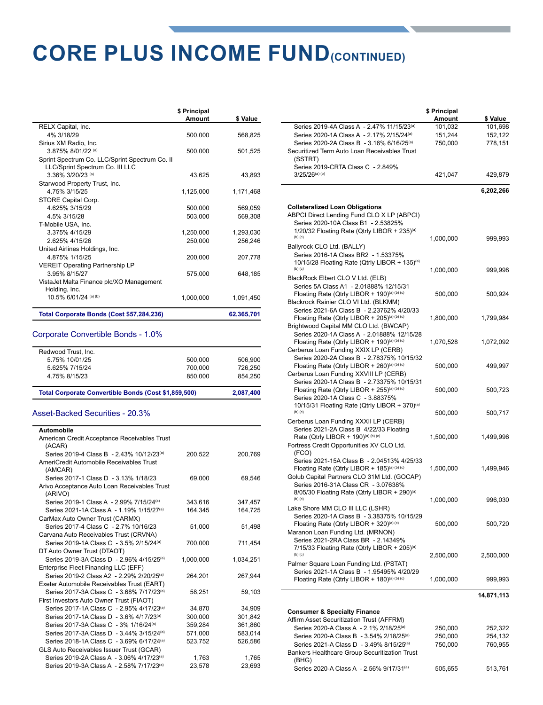### **CORE PLUS INCOME FUND(CONTINUED)**

|                                                                                   | \$ Principal<br>Amount | \$ Value   |
|-----------------------------------------------------------------------------------|------------------------|------------|
| RELX Capital, Inc.                                                                |                        |            |
| 4% 3/18/29                                                                        | 500,000                | 568,825    |
| Sirius XM Radio, Inc.                                                             |                        |            |
| 3.875% 8/01/22 (a)                                                                | 500,000                | 501.525    |
| Sprint Spectrum Co. LLC/Sprint Spectrum Co. II<br>LLC/Sprint Spectrum Co. III LLC |                        |            |
| 3.36% 3/20/23 (a)                                                                 | 43.625                 | 43,893     |
| Starwood Property Trust, Inc.                                                     |                        |            |
| 4 75% 3/15/25                                                                     | 1,125,000              | 1,171,468  |
| STORE Capital Corp.                                                               |                        |            |
| 4.625% 3/15/29                                                                    | 500,000                | 569,059    |
| 4.5% 3/15/28                                                                      | 503,000                | 569,308    |
| T-Mobile USA, Inc.                                                                |                        |            |
| 3.375% 4/15/29                                                                    | 1,250,000              | 1,293,030  |
| 2.625% 4/15/26                                                                    | 250.000                | 256.246    |
| United Airlines Holdings, Inc.                                                    |                        |            |
| 4.875% 1/15/25                                                                    | 200,000                | 207,778    |
| <b>VEREIT Operating Partnership LP</b>                                            |                        |            |
| 3.95% 8/15/27                                                                     | 575,000                | 648,185    |
| VistaJet Malta Finance plc/XO Management                                          |                        |            |
| Holding, Inc.                                                                     |                        |            |
| 10.5% 6/01/24 (a) (b)                                                             | 1,000,000              | 1,091,450  |
| Total Corporate Bonds (Cost \$57,284,236)                                         |                        | 62,365,701 |

#### Corporate Convertible Bonds - 1.0%

| Total Corporate Convertible Bonds (Cost \$1,859,500) |         | 2.087.400 |
|------------------------------------------------------|---------|-----------|
| 4.75% 8/15/23                                        | 850,000 | 854.250   |
| 5.625% 7/15/24                                       | 700.000 | 726.250   |
| 5.75% 10/01/25                                       | 500.000 | 506.900   |
| Redwood Trust, Inc.                                  |         |           |
|                                                      |         |           |

#### Asset-Backed Securities - 20.3%

| Automobile                                              |           |           |
|---------------------------------------------------------|-----------|-----------|
| American Credit Acceptance Receivables Trust            |           |           |
| (ACAR)                                                  |           |           |
| Series 2019-4 Class B - 2.43% 10/12/23 <sup>(a)</sup>   | 200.522   | 200,769   |
| AmeriCredit Automobile Receivables Trust                |           |           |
| (AMCAR)                                                 |           |           |
| Series 2017-1 Class D - 3.13% 1/18/23                   | 69,000    | 69,546    |
| Arivo Acceptance Auto Loan Receivables Trust<br>(ARIVO) |           |           |
| Series 2019-1 Class A - 2 99% 7/15/24(a)                | 343.616   | 347,457   |
| Series 2021-1A Class A - 1.19% 1/15/27 <sup>(a)</sup>   | 164.345   | 164,725   |
| CarMax Auto Owner Trust (CARMX)                         |           |           |
| Series 2017-4 Class C - 2.7% 10/16/23                   | 51,000    | 51,498    |
| Carvana Auto Receivables Trust (CRVNA)                  |           |           |
| Series 2019-1A Class C - 3.5% 2/15/24 <sup>(a)</sup>    | 700,000   | 711,454   |
| DT Auto Owner Trust (DTAOT)                             |           |           |
| Series 2019-3A Class D - 2.96% 4/15/25(a)               | 1,000,000 | 1,034,251 |
| Enterprise Fleet Financing LLC (EFF)                    |           |           |
| Series 2019-2 Class A2 - 2 29% 2/20/25(a)               | 264.201   | 267,944   |
| Exeter Automobile Receivables Trust (EART)              |           |           |
| Series 2017-3A Class C - 3.68% 7/17/23(a)               | 58,251    | 59,103    |
| First Investors Auto Owner Trust (FIAOT)                |           |           |
| Series 2017-1A Class C - 2.95% 4/17/23(a)               | 34,870    | 34,909    |
| Series 2017-1A Class D - 3.6% 4/17/23 <sup>(a)</sup>    | 300,000   | 301,842   |
| Series 2017-3A Class C - 3% 1/16/24 <sup>(a)</sup>      | 359,284   | 361,860   |
| Series 2017-3A Class D - 3.44% 3/15/24 <sup>(a)</sup>   | 571,000   | 583,014   |
| Series 2018-1A Class C - 3.69% 6/17/24(a)               | 523,752   | 526,586   |
| GLS Auto Receivables Issuer Trust (GCAR)                |           |           |
| Series 2019-2A Class A - 3.06% 4/17/23(a)               | 1,763     | 1,765     |
| Series 2019-3A Class A - 2.58% 7/17/23(a)               | 23,578    | 23,693    |
|                                                         |           |           |

|                                                                                           | \$ Principal |            |
|-------------------------------------------------------------------------------------------|--------------|------------|
|                                                                                           | Amount       | \$ Value   |
| Series 2019-4A Class A - 2.47% 11/15/23 <sup>(a)</sup>                                    | 101,032      | 101,698    |
| Series 2020-1A Class A - 2.17% 2/15/24 <sup>(a)</sup>                                     | 151,244      | 152,122    |
| Series 2020-2A Class B - 3.16% 6/16/25(a)                                                 | 750,000      | 778,151    |
| Securitized Term Auto Loan Receivables Trust                                              |              |            |
| (SSTRT)<br>Series 2019-CRTA Class C - 2.849%                                              |              |            |
| $3/25/26^{(a)(b)}$                                                                        | 421,047      | 429,879    |
|                                                                                           |              |            |
|                                                                                           |              | 6,202,266  |
|                                                                                           |              |            |
| <b>Collateralized Loan Obligations</b><br>ABPCI Direct Lending Fund CLO X LP (ABPCI)      |              |            |
| Series 2020-10A Class B1 - 2.53825%                                                       |              |            |
| 1/20/32 Floating Rate (Qtrly LIBOR + 235)(a)                                              |              |            |
| $(b)$ $(c)$                                                                               | 1,000,000    | 999,993    |
| Ballyrock CLO Ltd. (BALLY)                                                                |              |            |
| Series 2016-1A Class BR2 - 1.53375%                                                       |              |            |
| 10/15/28 Floating Rate (Qtrly LIBOR + 135)(a)                                             |              |            |
| $(b)$ $(c)$                                                                               | 1,000,000    | 999,998    |
| BlackRock Elbert CLO V Ltd. (ELB)                                                         |              |            |
| Series 5A Class A1 - 2.01888% 12/15/31                                                    |              |            |
| Floating Rate (Qtrly LIBOR + 190)(a) (b) (c)                                              | 500,000      | 500,924    |
| Blackrock Rainier CLO VI Ltd. (BLKMM)                                                     |              |            |
| Series 2021-6A Class B - 2.23762% 4/20/33<br>Floating Rate (Qtrly LIBOR + 205)(a) (b) (c) | 1,800,000    | 1,799,984  |
| Brightwood Capital MM CLO Ltd. (BWCAP)                                                    |              |            |
| Series 2020-1A Class A - 2.01888% 12/15/28                                                |              |            |
| Floating Rate (Qtrly LIBOR + 190)(a) (b) (c)                                              | 1,070,528    | 1,072,092  |
| Cerberus Loan Funding XXIX LP (CERB)                                                      |              |            |
| Series 2020-2A Class B - 2.78375% 10/15/32                                                |              |            |
| Floating Rate (Qtrly LIBOR + 260)(a) (b) (c)                                              | 500,000      | 499,997    |
| Cerberus Loan Funding XXVIII LP (CERB)                                                    |              |            |
| Series 2020-1A Class B - 2.73375% 10/15/31                                                |              |            |
| Floating Rate (Qtrly LIBOR + 255)(a) (b) (c)                                              | 500,000      | 500,723    |
| Series 2020-1A Class C - 3.88375%                                                         |              |            |
| 10/15/31 Floating Rate (Qtrly LIBOR + 370)(a)<br>$(b)$ $(c)$                              | 500,000      | 500,717    |
| Cerberus Loan Funding XXXII LP (CERB)                                                     |              |            |
| Series 2021-2A Class B 4/22/33 Floating                                                   |              |            |
| Rate (Qtrly LIBOR + 190)(a) (b) (c)                                                       | 1,500,000    | 1,499,996  |
| Fortress Credit Opportunities XV CLO Ltd.                                                 |              |            |
| (FCO)                                                                                     |              |            |
| Series 2021-15A Class B - 2.04513% 4/25/33                                                |              |            |
| Floating Rate (Qtrly LIBOR + 185)(a) (b) (c)                                              | 1,500,000    | 1,499,946  |
| Golub Capital Partners CLO 31M Ltd. (GOCAP)                                               |              |            |
| Series 2016-31A Class CR - 3.07638%                                                       |              |            |
| 8/05/30 Floating Rate (Qtrly LIBOR + 290) <sup>(a)</sup><br>$(b)$ $(c)$                   |              |            |
|                                                                                           | 1,000,000    | 996,030    |
| Lake Shore MM CLO III LLC (LSHR)<br>Series 2020-1A Class B - 3.38375% 10/15/29            |              |            |
| Floating Rate (Qtrly LIBOR + 320)(a) (c)                                                  | 500,000      | 500,720    |
| Maranon Loan Funding Ltd. (MRNON)                                                         |              |            |
| Series 2021-2RA Class BR - 2.14349%                                                       |              |            |
| 7/15/33 Floating Rate (Qtrly LIBOR + 205)(a)                                              |              |            |
| $(b)$ $(c)$                                                                               | 2,500,000    | 2,500,000  |
| Palmer Square Loan Funding Ltd. (PSTAT)                                                   |              |            |
| Series 2021-1A Class B - 1.95495% 4/20/29                                                 |              |            |
| Floating Rate (Qtrly LIBOR + 180)(a) (b) (c)                                              | 1,000,000    | 999,993    |
|                                                                                           |              | 14,871,113 |
|                                                                                           |              |            |
| <b>Consumer &amp; Specialty Finance</b><br>Affirm Asset Securitization Trust (AFFRM)      |              |            |
| Series 2020-A Class A - 2.1% 2/18/25 <sup>(a)</sup>                                       | 250,000      | 252,322    |
| Series 2020-A Class B - 3.54% 2/18/25 <sup>(a)</sup>                                      | 250,000      | 254,132    |
| Series 2021-A Class D - 3.49% 8/15/25 <sup>(a)</sup>                                      | 750,000      | 760,955    |

Series 2021-A Class D - 3.49% 8/15/25<sup>(a)</sup> Bankers Healthcare Group Securitization Trust

Series 2020-A Class A - 2.56% 9/17/31<sup>(a)</sup> 505,655 513,761

(BHG)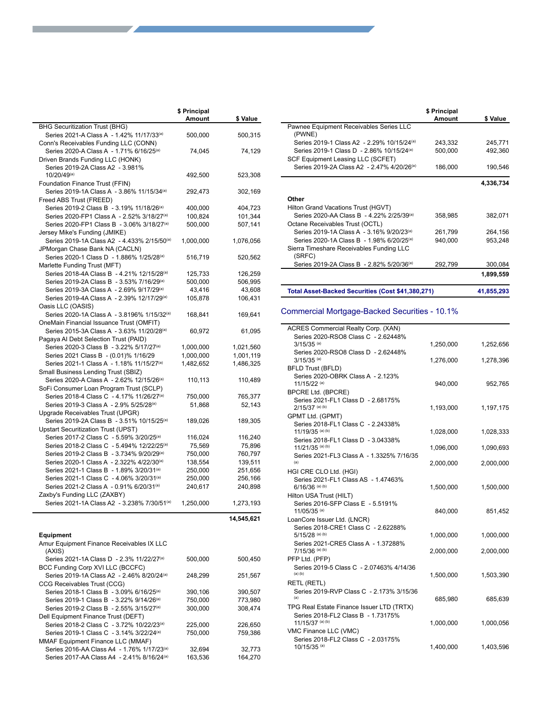|                                                                                                     | \$ Principal<br>Amount | \$ Value          |
|-----------------------------------------------------------------------------------------------------|------------------------|-------------------|
| <b>BHG Securitization Trust (BHG)</b>                                                               |                        |                   |
| Series 2021-A Class A - 1.42% 11/17/33 <sup>(a)</sup>                                               | 500,000                | 500,315           |
| Conn's Receivables Funding LLC (CONN)                                                               |                        |                   |
| Series 2020-A Class A - 1.71% 6/16/25 <sup>(a)</sup><br>Driven Brands Funding LLC (HONK)            | 74,045                 | 74,129            |
| Series 2019-2A Class A2 - 3.981%                                                                    |                        |                   |
| 10/20/49(a)                                                                                         | 492,500                | 523,308           |
| Foundation Finance Trust (FFIN)                                                                     |                        |                   |
| Series 2019-1A Class A - 3.86% 11/15/34 <sup>(a)</sup>                                              | 292,473                | 302,169           |
| Freed ABS Trust (FREED)                                                                             |                        |                   |
| Series 2019-2 Class B - 3.19% 11/18/26 <sup>(a)</sup>                                               | 400,000                | 404,723           |
| Series 2020-FP1 Class A - 2.52% 3/18/27 <sup>(a)</sup>                                              | 100,824                | 101,344           |
| Series 2020-FP1 Class B - 3.06% 3/18/27 <sup>(a)</sup><br>Jersey Mike's Funding (JMIKE)             | 500,000                | 507,141           |
| Series 2019-1A Class A2 - 4.433% 2/15/50 <sup>(a)</sup>                                             | 1,000,000              | 1,076,056         |
| JPMorgan Chase Bank NA (CACLN)                                                                      |                        |                   |
| Series 2020-1 Class D - 1.886% 1/25/28(a)                                                           | 516,719                | 520,562           |
| Marlette Funding Trust (MFT)                                                                        |                        |                   |
| Series 2018-4A Class B - 4.21% 12/15/28 <sup>(a)</sup>                                              | 125,733                | 126,259           |
| Series 2019-2A Class B - 3.53% 7/16/29 <sup>(a)</sup>                                               | 500,000                | 506,995           |
| Series 2019-3A Class A - 2.69% 9/17/29 <sup>(a)</sup>                                               | 43,416                 | 43,608            |
| Series 2019-4A Class A - 2.39% 12/17/29 <sup>(a)</sup>                                              | 105,878                | 106,431           |
| Oasis LLC (OASIS)                                                                                   |                        |                   |
| Series 2020-1A Class A - 3.8196% 1/15/32 <sup>(a)</sup><br>OneMain Financial Issuance Trust (OMFIT) | 168,841                | 169,641           |
| Series 2015-3A Class A - 3.63% 11/20/28(a)                                                          | 60,972                 | 61,095            |
| Pagaya AI Debt Selection Trust (PAID)                                                               |                        |                   |
| Series 2020-3 Class B - 3.22% 5/17/27 <sup>(a)</sup>                                                | 1,000,000              | 1,021,560         |
| Series 2021 Class B - (0.01)% 1/16/29                                                               | 1,000,000              | 1,001,119         |
| Series 2021-1 Class A - 1.18% 11/15/27 <sup>(a)</sup>                                               | 1,482,652              | 1,486,325         |
| Small Business Lending Trust (SBIZ)                                                                 |                        |                   |
| Series 2020-A Class A - 2.62% 12/15/26 <sup>(a)</sup>                                               | 110,113                | 110,489           |
| SoFi Consumer Loan Program Trust (SCLP)                                                             |                        |                   |
| Series 2018-4 Class C - 4.17% 11/26/27 <sup>(a)</sup>                                               | 750,000                | 765,377           |
| Series 2019-3 Class A - 2.9% 5/25/28(a)                                                             | 51,868                 | 52,143            |
| Upgrade Receivables Trust (UPGR)                                                                    |                        |                   |
| Series 2019-2A Class B - 3.51% 10/15/25 <sup>(a)</sup>                                              | 189,026                | 189,305           |
| <b>Upstart Securitization Trust (UPST)</b><br>Series 2017-2 Class C - 5.59% 3/20/25 <sup>(a)</sup>  |                        |                   |
| Series 2018-2 Class C - 5.494% 12/22/25 <sup>(a)</sup>                                              | 116,024<br>75,569      | 116,240<br>75,896 |
| Series 2019-2 Class B - 3.734% 9/20/29 <sup>(a)</sup>                                               | 750,000                | 760,797           |
| Series 2020-1 Class A - 2.322% 4/22/30(a)                                                           | 138,554                | 139,511           |
| Series 2021-1 Class B - 1.89% 3/20/31 <sup>(a)</sup>                                                | 250,000                | 251,656           |
| Series 2021-1 Class C - 4.06% 3/20/31(a)                                                            | 250,000                | 256,166           |
| Series 2021-2 Class A - 0.91% 6/20/31(a)                                                            | 240,617                | 240,898           |
| Zaxby's Funding LLC (ZAXBY)                                                                         |                        |                   |
| Series 2021-1A Class A2 - 3.238% 7/30/51 <sup>(a)</sup>                                             | 1,250,000              | 1,273,193         |
|                                                                                                     |                        | 14,545,621        |
|                                                                                                     |                        |                   |
| <b>Equipment</b>                                                                                    |                        |                   |
| Amur Equipment Finance Receivables IX LLC                                                           |                        |                   |
| (AXIS)                                                                                              |                        |                   |
| Series 2021-1A Class D - 2.3% 11/22/27(a)<br>BCC Funding Corp XVI LLC (BCCFC)                       | 500,000                | 500,450           |
| Series 2019-1A Class A2 - 2.46% 8/20/24 <sup>(a)</sup>                                              | 248,299                | 251,567           |
| CCG Receivables Trust (CCG)                                                                         |                        |                   |
| Series 2018-1 Class B - 3.09% 6/16/25 <sup>(a)</sup>                                                | 390,106                | 390,507           |
| Series 2019-1 Class B - 3.22% 9/14/26 <sup>(a)</sup>                                                | 750,000                | 773,980           |
| Series 2019-2 Class B - 2.55% 3/15/27 <sup>(a)</sup>                                                | 300,000                | 308,474           |
| Dell Equipment Finance Trust (DEFT)                                                                 |                        |                   |
| Series 2018-2 Class C - 3.72% 10/22/23(a)                                                           | 225,000                | 226,650           |
| Series 2019-1 Class C - 3.14% 3/22/24(a)                                                            | 750,000                | 759,386           |
| MMAF Equipment Finance LLC (MMAF)                                                                   |                        |                   |
| Series 2016-AA Class A4 - 1.76% 1/17/23(a)                                                          | 32,694                 | 32,773            |

Series 2017-AA Class A4 - 2.41% 8/16/24<sup>(a)</sup> 163,536 164,270

|                                                                                          | \$ Principal<br>Amount | \$ Value  |
|------------------------------------------------------------------------------------------|------------------------|-----------|
| Pawnee Equipment Receivables Series LLC<br>(PWNE)                                        |                        |           |
| Series 2019-1 Class A2 - 2.29% 10/15/24 <sup>(a)</sup>                                   | 243,332                | 245,771   |
| Series 2019-1 Class D - 2.86% 10/15/24(a)<br>SCF Equipment Leasing LLC (SCFET)           | 500,000                | 492,360   |
| Series 2019-2A Class A2 - 2.47% 4/20/26 <sup>(a)</sup>                                   | 186,000                | 190,546   |
|                                                                                          |                        | 4,336,734 |
| Other                                                                                    |                        |           |
| Hilton Grand Vacations Trust (HGVT)                                                      |                        |           |
| Series 2020-AA Class B - 4.22% 2/25/39 <sup>(a)</sup><br>Octane Receivables Trust (OCTL) | 358,985                | 382,071   |
| Series 2019-1A Class A - 3.16% 9/20/23(a)                                                | 261,799                | 264,156   |
| Series 2020-1A Class B - 1.98% 6/20/25 <sup>(a)</sup>                                    | 940,000                | 953,248   |
| Sierra Timeshare Receivables Funding LLC<br>(SRFC)                                       |                        |           |
| Series 2019-2A Class B - 2.82% 5/20/36 <sup>(a)</sup>                                    | 292,799                | 300,084   |
|                                                                                          |                        | 1,899,559 |
|                                                                                          |                        |           |

**Total Asset-Backed Securities (Cost \$41,380,271) 41,855,293**

Commercial Mortgage-Backed Securities - 10.1%

| ACRES Commercial Realty Corp. (XAN)                                             |           |           |
|---------------------------------------------------------------------------------|-----------|-----------|
| Series 2020-RSO8 Class C - 2.62448%                                             |           |           |
| $3/15/35$ <sup>(a)</sup>                                                        | 1,250,000 | 1,252,656 |
| Series 2020-RSO8 Class D - 2.62448%                                             |           |           |
| $3/15/35$ (a)                                                                   | 1,276,000 | 1,278,396 |
| <b>BFLD Trust (BFLD)</b><br>Series 2020-OBRK Class A - 2.123%                   |           |           |
| 11/15/22 (a)                                                                    | 940,000   | 952,765   |
| BPCRE Ltd. (BPCRE)                                                              |           |           |
| Series 2021-FL1 Class D - 2.68175%                                              |           |           |
| $2/15/37$ (a) (b)                                                               | 1,193,000 | 1,197,175 |
| GPMT Ltd. (GPMT)                                                                |           |           |
| Series 2018-FL1 Class C - 2.24338%                                              |           |           |
| 11/19/35 (a) (b)                                                                | 1,028,000 | 1,028,333 |
| Series 2018-FL1 Class D - 3.04338%<br>11/21/35 (a) (b)                          |           |           |
| Series 2021-FL3 Class A - 1.3325% 7/16/35                                       | 1,096,000 | 1,090,693 |
| (a)                                                                             | 2,000,000 | 2,000,000 |
| HGI CRE CLO Ltd. (HGI)                                                          |           |           |
| Series 2021-FL1 Class AS - 1.47463%                                             |           |           |
| $6/16/36$ (a) (b)                                                               | 1,500,000 | 1,500,000 |
| Hilton USA Trust (HILT)                                                         |           |           |
| Series 2016-SFP Class E - 5.5191%                                               |           |           |
| 11/05/35 (a)                                                                    | 840,000   | 851,452   |
| LoanCore Issuer Ltd. (LNCR)                                                     |           |           |
| Series 2018-CRE1 Class C - 2.62288%<br>$5/15/28$ (a) (b)                        | 1,000,000 | 1,000,000 |
| Series 2021-CRE5 Class A - 1.37288%                                             |           |           |
| 7/15/36 (a) (b)                                                                 | 2,000,000 | 2,000,000 |
| PFP Ltd. (PFP)                                                                  |           |           |
| Series 2019-5 Class C - 2.07463% 4/14/36                                        |           |           |
| $(a)$ $(b)$                                                                     | 1,500,000 | 1,503,390 |
| <b>RETL (RETL)</b>                                                              |           |           |
| Series 2019-RVP Class C - 2.173% 3/15/36                                        |           |           |
| (a)                                                                             | 685,980   | 685,639   |
| TPG Real Estate Finance Issuer LTD (TRTX)<br>Series 2018-FL2 Class B - 1.73175% |           |           |
| 11/15/37 (a) (b)                                                                | 1,000,000 | 1,000,056 |
| VMC Finance LLC (VMC)                                                           |           |           |
| Series 2018-FL2 Class C - 2.03175%                                              |           |           |
| 10/15/35 (a)                                                                    | 1,400,000 | 1,403,596 |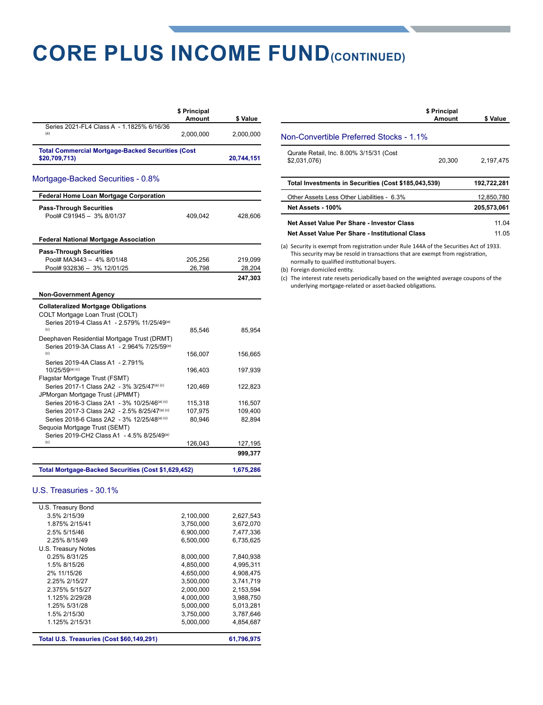### **CORE PLUS INCOME FUND(CONTINUED)**

|                                                                           | \$ Principal<br><b>Amount</b> | \$ Value   |
|---------------------------------------------------------------------------|-------------------------------|------------|
| Series 2021-FL4 Class A - 1.1825% 6/16/36<br>(a)                          | 2.000.000                     | 2.000.000  |
| <b>Total Commercial Mortgage-Backed Securities (Cost</b><br>\$20,709,713) |                               | 20.744.151 |

#### Mortgage-Backed Securities - 0.8%

| Pool# C91945 - 3% 8/01/37                                                       | 409,042 | 428,606   |
|---------------------------------------------------------------------------------|---------|-----------|
|                                                                                 |         |           |
| <b>Federal National Mortgage Association</b>                                    |         |           |
| <b>Pass-Through Securities</b>                                                  |         |           |
| Pool# MA3443 - 4% 8/01/48                                                       | 205,256 | 219,099   |
| Pool# 932836 - 3% 12/01/25                                                      | 26,798  | 28,204    |
|                                                                                 |         | 247,303   |
| <b>Non-Government Agency</b>                                                    |         |           |
| <b>Collateralized Mortgage Obligations</b>                                      |         |           |
| COLT Mortgage Loan Trust (COLT)                                                 |         |           |
| Series 2019-4 Class A1 - 2.579% 11/25/49 <sup>(a)</sup>                         |         |           |
| (c)                                                                             | 85,546  | 85,954    |
| Deephaven Residential Mortgage Trust (DRMT)                                     |         |           |
| Series 2019-3A Class A1 - 2.964% 7/25/59(a)                                     |         |           |
| (c)                                                                             | 156,007 | 156,665   |
| Series 2019-4A Class A1 - 2.791%                                                |         |           |
| 10/25/59(a) (c)                                                                 | 196.403 | 197,939   |
| Flagstar Mortgage Trust (FSMT)                                                  |         |           |
| Series 2017-1 Class 2A2 - 3% 3/25/47 <sup>(a) (c)</sup>                         | 120,469 | 122,823   |
| JPMorgan Mortgage Trust (JPMMT)<br>Series 2016-3 Class 2A1 - 3% 10/25/46(a) (c) |         |           |
| Series 2017-3 Class 2A2 - 2.5% 8/25/47(a) (c)                                   | 115,318 | 116,507   |
| Series 2018-6 Class 2A2 - 3% 12/25/48(a) (c)                                    | 107,975 | 109,400   |
| Sequoia Mortgage Trust (SEMT)                                                   | 80,946  | 82,894    |
| Series 2019-CH2 Class A1 - 4.5% 8/25/49 <sup>(a)</sup>                          |         |           |
| (c)                                                                             | 126,043 | 127,195   |
|                                                                                 |         | 999,377   |
|                                                                                 |         |           |
| Total Mortgage-Backed Securities (Cost \$1,629,452)                             |         | 1,675,286 |

#### U.S. Treasuries - 30.1%

| Total U.S. Treasuries (Cost \$60,149,291) |           | 61,796,975 |
|-------------------------------------------|-----------|------------|
| 1.125% 2/15/31                            | 5.000.000 | 4.854.687  |
| 1.5% 2/15/30                              | 3.750.000 | 3.787.646  |
| 1.25% 5/31/28                             | 5,000,000 | 5,013,281  |
| 1.125% 2/29/28                            | 4,000,000 | 3,988,750  |
| 2.375% 5/15/27                            | 2.000.000 | 2.153.594  |
| 2.25% 2/15/27                             | 3,500,000 | 3,741,719  |
| 2% 11/15/26                               | 4.650.000 | 4.908.475  |
| 1.5% 8/15/26                              | 4,850,000 | 4,995,311  |
| 0.25% 8/31/25                             | 8,000,000 | 7,840,938  |
| U.S. Treasury Notes                       |           |            |
| 2.25% 8/15/49                             | 6.500.000 | 6.735.625  |
| 2.5% 5/15/46                              | 6.900.000 | 7.477.336  |
| 1.875% 2/15/41                            | 3,750,000 | 3,672,070  |
| 3.5% 2/15/39                              | 2,100,000 | 2,627,543  |
| U.S. Treasury Bond                        |           |            |

|                                                                                                                                                                          | \$ Principal<br>Amount | \$ Value    |
|--------------------------------------------------------------------------------------------------------------------------------------------------------------------------|------------------------|-------------|
| Non-Convertible Preferred Stocks - 1.1%                                                                                                                                  |                        |             |
| Qurate Retail, Inc. 8.00% 3/15/31 (Cost<br>\$2,031,076)                                                                                                                  | 20,300                 | 2,197,475   |
| Total Investments in Securities (Cost \$185,043,539)                                                                                                                     |                        | 192,722,281 |
| Other Assets Less Other Liabilities - 6.3%                                                                                                                               |                        | 12,850,780  |
| Net Assets - 100%                                                                                                                                                        |                        | 205.573.061 |
| Net Asset Value Per Share - Investor Class                                                                                                                               |                        | 11.04       |
| Net Asset Value Per Share - Institutional Class                                                                                                                          |                        | 11.05       |
| (a) Security is exempt from registration under Rule 144A of the Securities Act of 1933.<br>This security may be reseld in transactions that are evennt from registration |                        |             |

This security may be resold in transactions that are exempt from registration, normally to qualified institutional buyers.

(b) Foreign domiciled entity.

(c) The interest rate resets periodically based on the weighted average coupons of the underlying mortgage-related or asset-backed obligations.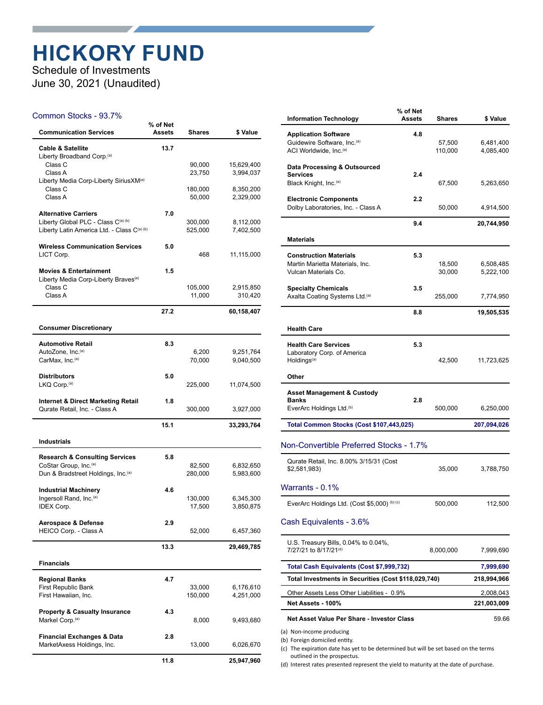### **HICKORY FUND**

Schedule of Investments June 30, 2021 (Unaudited)

#### Common Stocks - 93.7%

| <b>Communication Services</b>                                                  | % of Net<br>Assets | Shares  | \$ Value   |
|--------------------------------------------------------------------------------|--------------------|---------|------------|
| <b>Cable &amp; Satellite</b><br>Liberty Broadband Corp. <sup>(a)</sup>         | 13.7               |         |            |
| Class C                                                                        |                    | 90,000  | 15,629,400 |
| Class A                                                                        |                    | 23,750  | 3,994,037  |
| Liberty Media Corp-Liberty SiriusXM <sup>(a)</sup><br>Class C                  |                    | 180,000 | 8,350,200  |
| Class A                                                                        |                    | 50,000  | 2,329,000  |
|                                                                                |                    |         |            |
| <b>Alternative Carriers</b><br>Liberty Global PLC - Class C(a) (b)             | 7.0                | 300,000 | 8,112,000  |
| Liberty Latin America Ltd. - Class C(a) (b)                                    |                    | 525,000 | 7,402,500  |
|                                                                                |                    |         |            |
| <b>Wireless Communication Services</b><br>LICT Corp.                           | 5.0                | 468     | 11,115,000 |
|                                                                                |                    |         |            |
| <b>Movies &amp; Entertainment</b>                                              | 1.5                |         |            |
| Liberty Media Corp-Liberty Braves <sup>(a)</sup><br>Class C                    |                    | 105,000 | 2,915,850  |
| Class A                                                                        |                    | 11,000  | 310,420    |
|                                                                                |                    |         |            |
|                                                                                | 27.2               |         | 60,158,407 |
| <b>Consumer Discretionary</b>                                                  |                    |         |            |
| <b>Automotive Retail</b>                                                       | 8.3                |         |            |
| AutoZone, Inc. <sup>(a)</sup>                                                  |                    | 6,200   | 9,251,764  |
| CarMax, Inc.(a)                                                                |                    | 70,000  | 9,040,500  |
| <b>Distributors</b>                                                            | 5.0                |         |            |
| LKQ Corp. <sup>(a)</sup>                                                       |                    | 225,000 | 11,074,500 |
|                                                                                |                    |         |            |
| <b>Internet &amp; Direct Marketing Retail</b><br>Qurate Retail, Inc. - Class A | 1.8                | 300,000 | 3,927,000  |
|                                                                                |                    |         |            |
|                                                                                | 15.1               |         | 33,293,764 |
| <b>Industrials</b>                                                             |                    |         |            |
| <b>Research &amp; Consulting Services</b>                                      | 5.8                |         |            |
| CoStar Group, Inc. <sup>(a)</sup>                                              |                    | 82,500  | 6,832,650  |
| Dun & Bradstreet Holdings, Inc. <sup>(a)</sup>                                 |                    | 280,000 | 5,983,600  |
| <b>Industrial Machinery</b>                                                    | 4.6                |         |            |
| Ingersoll Rand, Inc. <sup>(a)</sup>                                            |                    | 130,000 | 6,345,300  |
| <b>IDEX Corp.</b>                                                              |                    | 17,500  | 3,850,875  |
| Aerospace & Defense                                                            | 2.9                |         |            |
| HEICO Corp. - Class A                                                          |                    | 52,000  | 6,457,360  |
|                                                                                | 13.3               |         | 29,469,785 |
|                                                                                |                    |         |            |
| <b>Financials</b>                                                              |                    |         |            |
| <b>Regional Banks</b>                                                          | 4.7                |         |            |
| First Republic Bank                                                            |                    | 33,000  | 6,176,610  |
| First Hawaiian, Inc.                                                           |                    | 150,000 | 4,251,000  |
| <b>Property &amp; Casualty Insurance</b>                                       | 4.3                |         |            |
| Markel Corp. <sup>(a)</sup>                                                    |                    | 8,000   | 9,493,680  |
| <b>Financial Exchanges &amp; Data</b>                                          | 2.8                |         |            |
| MarketAxess Holdings, Inc.                                                     |                    | 13,000  | 6,026,670  |
|                                                                                | 11.8               |         |            |
|                                                                                |                    |         | 25,947,960 |

| <b>Information Technology</b>                                                                                | % of Net<br><b>Assets</b> | <b>Shares</b>     | \$ Value                 |
|--------------------------------------------------------------------------------------------------------------|---------------------------|-------------------|--------------------------|
| <b>Application Software</b><br>Guidewire Software, Inc. <sup>(a)</sup><br>ACI Worldwide, Inc. <sup>(a)</sup> | 4.8                       | 57,500<br>110,000 | 6,481,400<br>4,085,400   |
| Data Processing & Outsourced                                                                                 |                           |                   |                          |
| Services<br>Black Knight, Inc. <sup>(a)</sup>                                                                | 2.4                       | 67,500            | 5,263,650                |
| <b>Electronic Components</b><br>Dolby Laboratories, Inc. - Class A                                           | 2.2                       | 50,000            | 4,914,500                |
|                                                                                                              | 9.4                       |                   | 20,744,950               |
| <b>Materials</b>                                                                                             |                           |                   |                          |
| <b>Construction Materials</b><br>Martin Marietta Materials, Inc.<br>Vulcan Materials Co.                     | 5.3                       | 18,500<br>30,000  | 6,508,485<br>5,222,100   |
| <b>Specialty Chemicals</b><br>Axalta Coating Systems Ltd.(a)                                                 | 3.5                       | 255,000           | 7,774,950                |
|                                                                                                              | 8.8                       |                   | 19,505,535               |
| <b>Health Care</b>                                                                                           |                           |                   |                          |
| <b>Health Care Services</b><br>Laboratory Corp. of America<br>Holdings <sup>(a)</sup>                        | 5.3                       | 42,500            | 11,723,625               |
| Other                                                                                                        |                           |                   |                          |
| Asset Management & Custody<br><b>Banks</b><br>EverArc Holdings Ltd. <sup>(b)</sup>                           | 2.8                       | 500,000           | 6,250,000                |
| Total Common Stocks (Cost \$107,443,025)                                                                     |                           |                   | 207,094,026              |
| Non-Convertible Preferred Stocks - 1.7%                                                                      |                           |                   |                          |
| Qurate Retail, Inc. 8.00% 3/15/31 (Cost<br>\$2,581,983)                                                      |                           | 35,000            | 3,788,750                |
| Warrants - 0.1%                                                                                              |                           |                   |                          |
| EverArc Holdings Ltd. (Cost \$5,000) (b) (c)                                                                 |                           | 500,000           | 112,500                  |
| Cash Equivalents - 3.6%                                                                                      |                           |                   |                          |
| U.S. Treasury Bills, 0.04% to 0.04%,<br>7/27/21 to 8/17/21 <sup>(d)</sup>                                    |                           | 8,000,000         | 7,999,690                |
| Total Cash Equivalents (Cost \$7,999,732)                                                                    |                           |                   | 7,999,690                |
| Total Investments in Securities (Cost \$118,029,740)                                                         |                           |                   | 218,994,966              |
| Other Assets Less Other Liabilities - 0.9%<br><b>Net Assets - 100%</b>                                       |                           |                   | 2,008,043<br>221,003,009 |
| Net Asset Value Per Share - Investor Class                                                                   |                           |                   | 59.66                    |
| (a) Non-income producing<br>(b) Foreign domiciled entity.                                                    |                           |                   |                          |

(c) The expiration date has yet to be determined but will be set based on the terms outlined in the prospectus.

(d) Interest rates presented represent the yield to maturity at the date of purchase.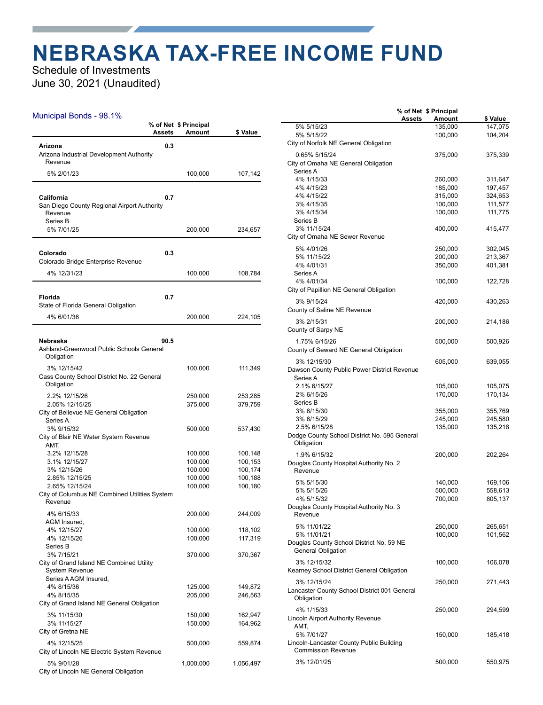### **NEBRASKA TAX-FREE INCOME FUND**

Schedule of Investments June 30, 2021 (Unaudited)

#### Municipal Bonds - 98.1%

|                                                                                  | Assets | % of Net \$ Principal<br>Amount | \$ Value  |
|----------------------------------------------------------------------------------|--------|---------------------------------|-----------|
| Arizona<br>Arizona Industrial Development Authority<br>Revenue                   | 0.3    |                                 |           |
| 5% 2/01/23                                                                       |        | 100,000                         | 107,142   |
|                                                                                  |        |                                 |           |
| California<br>San Diego County Regional Airport Authority<br>Revenue<br>Series B | 0.7    |                                 |           |
| 5% 7/01/25                                                                       |        | 200,000                         | 234,657   |
| Colorado<br>Colorado Bridge Enterprise Revenue                                   | 0.3    |                                 |           |
| 4% 12/31/23                                                                      |        | 100,000                         | 108,784   |
| <b>Florida</b><br>State of Florida General Obligation                            | 0.7    |                                 |           |
| 4% 6/01/36                                                                       |        | 200,000                         | 224,105   |
| Nebraska<br>Ashland-Greenwood Public Schools General<br>Obligation               | 90.5   |                                 |           |
| 3% 12/15/42                                                                      |        | 100,000                         | 111,349   |
| Cass County School District No. 22 General<br>Obligation                         |        |                                 |           |
| 2.2% 12/15/26                                                                    |        | 250,000                         | 253,285   |
| 2.05% 12/15/25<br>City of Bellevue NE General Obligation<br>Series A             |        | 375,000                         | 379,759   |
| 3% 9/15/32<br>City of Blair NE Water System Revenue                              |        | 500,000                         | 537,430   |
| AMT.<br>3.2% 12/15/28                                                            |        | 100,000                         | 100,148   |
| 3.1% 12/15/27                                                                    |        | 100,000                         | 100,153   |
| 3% 12/15/26                                                                      |        | 100,000                         | 100,174   |
| 2.85% 12/15/25                                                                   |        | 100,000                         | 100,188   |
| 2.65% 12/15/24<br>City of Columbus NE Combined Utilities System                  |        | 100,000                         | 100,180   |
| Revenue                                                                          |        |                                 |           |
| 4% 6/15/33<br>AGM Insured,                                                       |        | 200,000                         | 244,009   |
| 4% 12/15/27                                                                      |        | 100,000                         | 118,102   |
| 4% 12/15/26<br>Series B                                                          |        | 100,000                         | 117,319   |
| 3% 7/15/21                                                                       |        | 370,000                         | 370,367   |
| City of Grand Island NE Combined Utility<br><b>System Revenue</b>                |        |                                 |           |
| Series A AGM Insured,<br>4% 8/15/36                                              |        | 125,000                         | 149,872   |
| 4% 8/15/35                                                                       |        | 205,000                         | 246,563   |
| City of Grand Island NE General Obligation                                       |        |                                 |           |
| 3% 11/15/30                                                                      |        | 150,000                         | 162,947   |
| 3% 11/15/27                                                                      |        | 150,000                         | 164,962   |
| City of Gretna NE                                                                |        |                                 |           |
| 4% 12/15/25<br>City of Lincoln NE Electric System Revenue                        |        | 500,000                         | 559,874   |
| 5% 9/01/28                                                                       |        | 1,000,000                       | 1,056,497 |
| City of Lincoln NE General Obligation                                            |        |                                 |           |

|                                              | % of Net \$ Principal |         |          |
|----------------------------------------------|-----------------------|---------|----------|
|                                              | <b>Assets</b>         | Amount  | \$ Value |
| 5% 5/15/23                                   |                       | 135,000 | 147,075  |
| 5% 5/15/22                                   |                       | 100,000 | 104,204  |
| City of Norfolk NE General Obligation        |                       |         |          |
|                                              |                       |         |          |
| 0.65% 5/15/24                                |                       | 375,000 | 375,339  |
| City of Omaha NE General Obligation          |                       |         |          |
| Series A                                     |                       |         |          |
| 4% 1/15/33                                   |                       | 260,000 | 311,647  |
| 4% 4/15/23                                   |                       |         |          |
|                                              |                       | 185,000 | 197,457  |
| 4% 4/15/22                                   |                       | 315,000 | 324,653  |
| 3% 4/15/35                                   |                       | 100,000 | 111,577  |
| 3% 4/15/34                                   |                       | 100,000 | 111,775  |
| Series B                                     |                       |         |          |
| 3% 11/15/24                                  |                       | 400,000 | 415,477  |
| City of Omaha NE Sewer Revenue               |                       |         |          |
|                                              |                       |         |          |
| 5% 4/01/26                                   |                       | 250,000 | 302,045  |
| 5% 11/15/22                                  |                       | 200,000 | 213,367  |
| 4% 4/01/31                                   |                       | 350,000 | 401,381  |
| Series A                                     |                       |         |          |
|                                              |                       |         |          |
| 4% 4/01/34                                   |                       | 100,000 | 122,728  |
| City of Papillion NE General Obligation      |                       |         |          |
| 3% 9/15/24                                   |                       | 420,000 | 430,263  |
|                                              |                       |         |          |
| County of Saline NE Revenue                  |                       |         |          |
| 3% 2/15/31                                   |                       | 200,000 | 214,186  |
| County of Sarpy NE                           |                       |         |          |
|                                              |                       |         |          |
| 1.75% 6/15/26                                |                       | 500,000 | 500,926  |
| County of Seward NE General Obligation       |                       |         |          |
|                                              |                       |         |          |
| 3% 12/15/30                                  |                       | 605,000 | 639,055  |
| Dawson County Public Power District Revenue  |                       |         |          |
| Series A                                     |                       |         |          |
| 2.1% 6/15/27                                 |                       | 105,000 | 105,075  |
| 2% 6/15/26                                   |                       | 170,000 | 170,134  |
|                                              |                       |         |          |
| Series B                                     |                       |         |          |
| 3% 6/15/30                                   |                       | 355,000 | 355,769  |
| 3% 6/15/29                                   |                       | 245,000 | 245,580  |
| 2.5% 6/15/28                                 |                       | 135,000 | 135,218  |
| Dodge County School District No. 595 General |                       |         |          |
| Obligation                                   |                       |         |          |
|                                              |                       |         |          |
| 1.9% 6/15/32                                 |                       | 200,000 | 202,264  |
| Douglas County Hospital Authority No. 2      |                       |         |          |
| Revenue                                      |                       |         |          |
|                                              |                       |         |          |
| 5% 5/15/30                                   |                       | 140,000 | 169,106  |
| 5% 5/15/26                                   |                       | 500,000 | 558,613  |
| 4% 5/15/32                                   |                       | 700,000 | 805,137  |
| Douglas County Hospital Authority No. 3      |                       |         |          |
| Revenue                                      |                       |         |          |
|                                              |                       |         |          |
| 5% 11/01/22                                  |                       | 250,000 | 265,651  |
| 5% 11/01/21                                  |                       | 100,000 | 101,562  |
| Douglas County School District No. 59 NE     |                       |         |          |
| <b>General Obligation</b>                    |                       |         |          |
|                                              |                       |         |          |
| 3% 12/15/32                                  |                       | 100,000 | 106,078  |
| Kearney School District General Obligation   |                       |         |          |
|                                              |                       |         |          |
| 3% 12/15/24                                  |                       | 250,000 | 271,443  |
| Lancaster County School District 001 General |                       |         |          |
| Obligation                                   |                       |         |          |
|                                              |                       |         |          |
| 4% 1/15/33                                   |                       | 250,000 | 294,599  |
| Lincoln Airport Authority Revenue            |                       |         |          |
| AMT,                                         |                       |         |          |
| 5% 7/01/27                                   |                       | 150,000 | 185,418  |
| Lincoln-Lancaster County Public Building     |                       |         |          |
| <b>Commission Revenue</b>                    |                       |         |          |
|                                              |                       |         |          |
| 3% 12/01/25                                  |                       | 500,000 | 550,975  |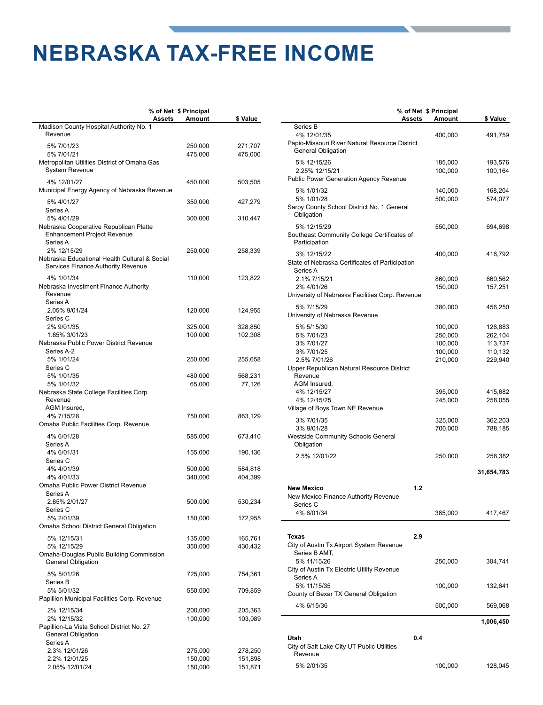### **NEBRASKA TAX-FREE INCOME**

**a**

|                                                                                                        | % of Net \$ Principal<br>Assets<br><b>Amount</b> | \$ Value           |
|--------------------------------------------------------------------------------------------------------|--------------------------------------------------|--------------------|
| Madison County Hospital Authority No. 1<br>Revenue                                                     |                                                  |                    |
| 5% 7/01/23<br>5% 7/01/21                                                                               | 250,000<br>475,000                               | 271,707<br>475,000 |
| Metropolitan Utilities District of Omaha Gas<br><b>System Revenue</b>                                  |                                                  |                    |
| 4% 12/01/27<br>Municipal Energy Agency of Nebraska Revenue                                             | 450,000                                          | 503,505            |
| 5% 4/01/27<br>Series A                                                                                 | 350,000                                          | 427,279            |
| 5% 4/01/29<br>Nebraska Cooperative Republican Platte<br><b>Enhancement Project Revenue</b><br>Series A | 300,000                                          | 310,447            |
| 2% 12/15/29<br>Nebraska Educational Health Cultural & Social<br>Services Finance Authority Revenue     | 250,000                                          | 258,339            |
| 4% 1/01/34<br>Nebraska Investment Finance Authority<br>Revenue<br>Series A                             | 110,000                                          | 123,822            |
| 2.05% 9/01/24<br>Series C                                                                              | 120,000                                          | 124,955            |
| 2% 9/01/35<br>1.85% 3/01/23                                                                            | 325,000<br>100,000                               | 328,850<br>102,308 |
| Nebraska Public Power District Revenue<br>Series A-2                                                   |                                                  |                    |
| 5% 1/01/24<br>Series C                                                                                 | 250,000                                          | 255,658            |
| 5% 1/01/35<br>5% 1/01/32                                                                               | 480,000<br>65,000                                | 568,231<br>77,126  |
| Nebraska State College Facilities Corp.<br>Revenue                                                     |                                                  |                    |
| AGM Insured,<br>4% 7/15/28<br>Omaha Public Facilities Corp. Revenue                                    | 750,000                                          | 863,129            |
| 4% 6/01/28<br>Series A                                                                                 | 585,000                                          | 673,410            |
| 4% 6/01/31                                                                                             | 155,000                                          | 190,136            |
| Series C<br>4% 4/01/39<br>4% 4/01/33                                                                   | 500,000<br>340,000                               | 584,818<br>404,399 |
| Omaha Public Power District Revenue<br>Series A                                                        |                                                  |                    |
| 2.85% 2/01/27<br>Series C                                                                              | 500,000                                          | 530,234            |
| 5% 2/01/39<br>Omaha School District General Obligation                                                 | 150,000                                          | 172,955            |
| 5% 12/15/31<br>5% 12/15/29                                                                             | 135,000<br>350,000                               | 165,761<br>430,432 |
| Omaha-Douglas Public Building Commission<br><b>General Obligation</b>                                  |                                                  |                    |
| 5% 5/01/26<br>Series B                                                                                 | 725,000                                          | 754,361            |
| 5% 5/01/32<br>Papillion Municipal Facilities Corp. Revenue                                             | 550,000                                          | 709,859            |
| 2% 12/15/34<br>2% 12/15/32                                                                             | 200,000<br>100,000                               | 205,363<br>103,089 |
| Papillion-La Vista School District No. 27<br>General Obligation<br>Series A                            |                                                  |                    |
| 2.3% 12/01/26<br>2.2% 12/01/25                                                                         | 275,000<br>150,000                               | 278,250<br>151,898 |
| 2.05% 12/01/24                                                                                         | 150,000                                          | 151,871            |

|                                                              |        | % of Net \$ Principal |            |
|--------------------------------------------------------------|--------|-----------------------|------------|
| Series B                                                     | Assets | Amount                | \$ Value   |
| 4% 12/01/35                                                  |        | 400,000               | 491,759    |
| Papio-Missouri River Natural Resource District               |        |                       |            |
| <b>General Obligation</b>                                    |        |                       |            |
| 5% 12/15/26                                                  |        | 185,000               | 193,576    |
| 2.25% 12/15/21                                               |        | 100,000               | 100,164    |
| <b>Public Power Generation Agency Revenue</b>                |        |                       |            |
| 5% 1/01/32                                                   |        | 140,000               | 168,204    |
| 5% 1/01/28                                                   |        | 500,000               | 574,077    |
| Sarpy County School District No. 1 General<br>Obligation     |        |                       |            |
| 5% 12/15/29                                                  |        | 550,000               | 694,698    |
| Southeast Community College Certificates of<br>Participation |        |                       |            |
| 3% 12/15/22                                                  |        | 400,000               | 416,792    |
| State of Nebraska Certificates of Participation              |        |                       |            |
| Series A<br>2.1% 7/15/21                                     |        | 860,000               | 860,562    |
| 2% 4/01/26                                                   |        | 150,000               | 157,251    |
| University of Nebraska Facilities Corp. Revenue              |        |                       |            |
| 5% 7/15/29                                                   |        | 380,000               | 456,250    |
| University of Nebraska Revenue                               |        |                       |            |
| 5% 5/15/30                                                   |        | 100,000               | 126,883    |
| 5% 7/01/23                                                   |        | 250,000               | 262,104    |
| 3% 7/01/27                                                   |        | 100,000               | 113,737    |
| 3% 7/01/25                                                   |        | 100,000               | 110,132    |
| 2.5% 7/01/26                                                 |        | 210,000               | 229,940    |
| Upper Republican Natural Resource District<br>Revenue        |        |                       |            |
| AGM Insured,                                                 |        |                       |            |
| 4% 12/15/27                                                  |        | 395,000               | 415,682    |
| 4% 12/15/25                                                  |        | 245,000               | 258,055    |
| Village of Boys Town NE Revenue                              |        |                       |            |
| 3% 7/01/35                                                   |        | 325,000               | 362,203    |
| 3% 9/01/28                                                   |        | 700,000               | 788,185    |
| <b>Westside Community Schools General</b>                    |        |                       |            |
| Obligation                                                   |        |                       |            |
| 2.5% 12/01/22                                                |        | 250,000               | 258,382    |
|                                                              |        |                       | 31,654,783 |
| <b>New Mexico</b>                                            | 1.2    |                       |            |
| New Mexico Finance Authority Revenue                         |        |                       |            |
| Series C                                                     |        |                       |            |
| 4% 6/01/34                                                   |        | 365,000               | 417,467    |
|                                                              |        |                       |            |
| Texas                                                        | 2.9    |                       |            |
| City of Austin Tx Airport System Revenue                     |        |                       |            |
| Series B AMT,                                                |        |                       |            |
| 5% 11/15/26                                                  |        | 250,000               | 304,741    |
| City of Austin Tx Electric Utility Revenue<br>Series A       |        |                       |            |
| 5% 11/15/35                                                  |        | 100,000               | 132,641    |
| County of Bexar TX General Obligation                        |        |                       |            |
| 4% 6/15/36                                                   |        | 500,000               | 569,068    |
|                                                              |        |                       |            |
|                                                              |        |                       | 1,006,450  |
| Utah                                                         | 0.4    |                       |            |
| City of Salt Lake City UT Public Utilities<br>Revenue        |        |                       |            |
| 5% 2/01/35                                                   |        | 100,000               | 128,045    |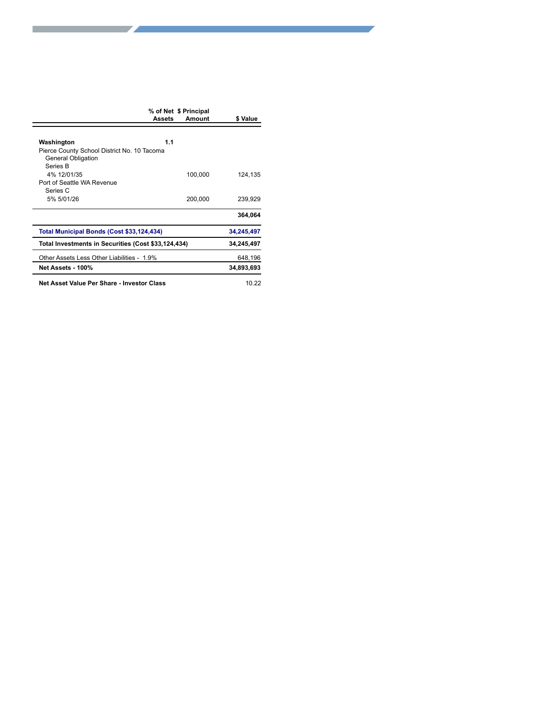|                                                                   | % of Net \$ Principal<br>Amount<br><b>Assets</b> | \$ Value   |
|-------------------------------------------------------------------|--------------------------------------------------|------------|
|                                                                   |                                                  |            |
| Washington                                                        | 1.1                                              |            |
| Pierce County School District No. 10 Tacoma<br>General Obligation |                                                  |            |
| Series B                                                          |                                                  |            |
| 4% 12/01/35<br>Port of Seattle WA Revenue                         | 100,000                                          | 124,135    |
| Series C                                                          |                                                  |            |
| 5% 5/01/26                                                        | 200,000                                          | 239,929    |
|                                                                   |                                                  | 364,064    |
| Total Municipal Bonds (Cost \$33,124,434)                         |                                                  | 34,245,497 |
| Total Investments in Securities (Cost \$33,124,434)               |                                                  | 34,245,497 |
| Other Assets Less Other Liabilities - 1.9%                        |                                                  | 648,196    |
| Net Assets - 100%                                                 |                                                  | 34,893,693 |
| Net Asset Value Per Share - Investor Class                        |                                                  | 10.22      |
|                                                                   |                                                  |            |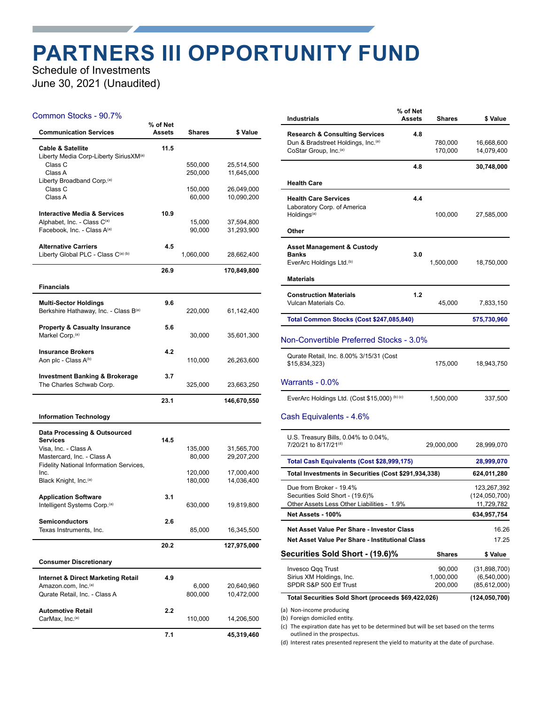### **PARTNERS III OPPORTUNITY FUND**

Schedule of Investments June 30, 2021 (Unaudited)

#### Common Stocks - 90.7%

| <b>Communication Services</b>                                                      | % of Net<br><b>Assets</b> | Shares            | \$ Value                 |
|------------------------------------------------------------------------------------|---------------------------|-------------------|--------------------------|
| <b>Cable &amp; Satellite</b><br>Liberty Media Corp-Liberty SiriusXM <sup>(a)</sup> | 11.5                      |                   |                          |
| Class C                                                                            |                           | 550,000           | 25,514,500               |
| Class A                                                                            |                           | 250,000           | 11,645,000               |
| Liberty Broadband Corp. <sup>(a)</sup><br>Class C                                  |                           |                   |                          |
| Class A                                                                            |                           | 150,000<br>60,000 | 26,049,000<br>10,090,200 |
|                                                                                    |                           |                   |                          |
| <b>Interactive Media &amp; Services</b>                                            | 10.9                      |                   |                          |
| Alphabet, Inc. - Class C(a)                                                        |                           | 15,000            | 37,594,800               |
| Facebook, Inc. - Class A(a)                                                        |                           | 90,000            | 31,293,900               |
| <b>Alternative Carriers</b>                                                        | 4.5                       |                   |                          |
| Liberty Global PLC - Class C(a) (b)                                                |                           | 1,060,000         | 28,662,400               |
|                                                                                    | 26.9                      |                   | 170,849,800              |
|                                                                                    |                           |                   |                          |
| <b>Financials</b>                                                                  |                           |                   |                          |
| <b>Multi-Sector Holdings</b>                                                       | 9.6                       |                   |                          |
| Berkshire Hathaway, Inc. - Class B(a)                                              |                           | 220,000           | 61,142,400               |
|                                                                                    |                           |                   |                          |
| <b>Property &amp; Casualty Insurance</b><br>Markel Corp. <sup>(a)</sup>            | 5.6                       | 30,000            | 35,601,300               |
|                                                                                    |                           |                   |                          |
| <b>Insurance Brokers</b>                                                           | 4.2                       |                   |                          |
| Aon plc - Class A(b)                                                               |                           | 110,000           | 26,263,600               |
| <b>Investment Banking &amp; Brokerage</b>                                          | 3.7                       |                   |                          |
| The Charles Schwab Corp.                                                           |                           | 325,000           | 23,663,250               |
|                                                                                    | 23.1                      |                   |                          |
|                                                                                    |                           |                   | 146,670,550              |
| <b>Information Technology</b>                                                      |                           |                   |                          |
| Data Processing & Outsourced                                                       |                           |                   |                          |
| <b>Services</b>                                                                    | 14.5                      |                   |                          |
| Visa, Inc. - Class A                                                               |                           | 135,000           | 31,565,700               |
| Mastercard, Inc. - Class A<br>Fidelity National Information Services,              |                           | 80,000            | 29,207,200               |
| Inc.                                                                               |                           | 120,000           | 17,000,400               |
| Black Knight, Inc. <sup>(a)</sup>                                                  |                           | 180,000           | 14,036,400               |
| <b>Application Software</b>                                                        | 3.1                       |                   |                          |
| Intelligent Systems Corp. <sup>(a)</sup>                                           |                           | 630,000           | 19,819,800               |
|                                                                                    |                           |                   |                          |
| <b>Semiconductors</b>                                                              | 2.6                       |                   |                          |
| Texas Instruments, Inc.                                                            |                           | 85,000            | 16,345,500               |
|                                                                                    | 20.2                      |                   | 127,975,000              |
| <b>Consumer Discretionary</b>                                                      |                           |                   |                          |
|                                                                                    |                           |                   |                          |
| <b>Internet &amp; Direct Marketing Retail</b><br>Amazon.com, Inc. <sup>(a)</sup>   | 4.9                       | 6,000             |                          |
| Qurate Retail, Inc. - Class A                                                      |                           | 800,000           | 20,640,960<br>10,472,000 |
|                                                                                    |                           |                   |                          |
| <b>Automotive Retail</b>                                                           | 2.2                       |                   |                          |
| CarMax. Inc. <sup>(a)</sup>                                                        |                           | 110,000           | 14,206,500               |
|                                                                                    | 7.1                       |                   | 45,319,460               |

| <b>Industrials</b>                                                                                                               | % of Net<br>Assets | <b>Shares</b>                  | \$ Value                                        |
|----------------------------------------------------------------------------------------------------------------------------------|--------------------|--------------------------------|-------------------------------------------------|
| <b>Research &amp; Consulting Services</b><br>Dun & Bradstreet Holdings, Inc. <sup>(a)</sup><br>CoStar Group, Inc. <sup>(a)</sup> | 4.8                | 780,000<br>170,000             | 16,668,600<br>14,079,400                        |
|                                                                                                                                  | 4.8                |                                | 30,748,000                                      |
| <b>Health Care</b>                                                                                                               |                    |                                |                                                 |
| <b>Health Care Services</b><br>Laboratory Corp. of America<br>Holdings <sup>(a)</sup>                                            | 4.4                | 100,000                        | 27,585,000                                      |
| Other                                                                                                                            |                    |                                |                                                 |
| <b>Asset Management &amp; Custody</b><br><b>Banks</b>                                                                            | 3.0                |                                |                                                 |
| EverArc Holdings Ltd. <sup>(b)</sup><br><b>Materials</b>                                                                         |                    | 1,500,000                      | 18,750,000                                      |
| <b>Construction Materials</b><br>Vulcan Materials Co.                                                                            | 1.2                | 45,000                         | 7,833,150                                       |
| Total Common Stocks (Cost \$247,085,840)                                                                                         |                    |                                | 575,730,960                                     |
| Non-Convertible Preferred Stocks - 3.0%                                                                                          |                    |                                |                                                 |
| Qurate Retail, Inc. 8.00% 3/15/31 (Cost<br>\$15,834,323)                                                                         |                    | 175,000                        | 18,943,750                                      |
| Warrants - 0.0%                                                                                                                  |                    |                                |                                                 |
| EverArc Holdings Ltd. (Cost \$15,000) (b) (c)                                                                                    |                    | 1,500,000                      | 337,500                                         |
| Cash Equivalents - 4.6%                                                                                                          |                    |                                |                                                 |
| U.S. Treasury Bills, 0.04% to 0.04%,<br>7/20/21 to 8/17/21 <sup>(d)</sup>                                                        |                    | 29,000,000                     | 28,999,070                                      |
| Total Cash Equivalents (Cost \$28,999,175)                                                                                       |                    |                                | 28,999,070                                      |
| Total Investments in Securities (Cost \$291,934,338)                                                                             |                    |                                | 624,011,280                                     |
| Due from Broker - 19.4%<br>Securities Sold Short - (19.6)%<br>Other Assets Less Other Liabilities - 1.9%                         |                    |                                | 123,267,392<br>(124, 050, 700)<br>11,729,782    |
| Net Assets - 100%                                                                                                                |                    |                                | 634,957,754                                     |
| Net Asset Value Per Share - Investor Class<br>Net Asset Value Per Share - Institutional Class                                    |                    |                                | 16.26<br>17.25                                  |
| <b>Securities Sold Short - (19.6)%</b>                                                                                           |                    | <b>Shares</b>                  | \$ Value                                        |
| Invesco Qqq Trust<br>Sirius XM Holdings, Inc.<br>SPDR S&P 500 Etf Trust                                                          |                    | 90,000<br>1,000,000<br>200,000 | (31,898,700)<br>(6, 540, 000)<br>(85, 612, 000) |
| Total Securities Sold Short (proceeds \$69,422,026)                                                                              |                    |                                | (124, 050, 700)                                 |
| (a) Non-income producing                                                                                                         |                    |                                |                                                 |

(a) Non-income producing (b) Foreign domiciled entity.

(c) The expiration date has yet to be determined but will be set based on the terms outlined in the prospectus.

(d) Interest rates presented represent the yield to maturity at the date of purchase.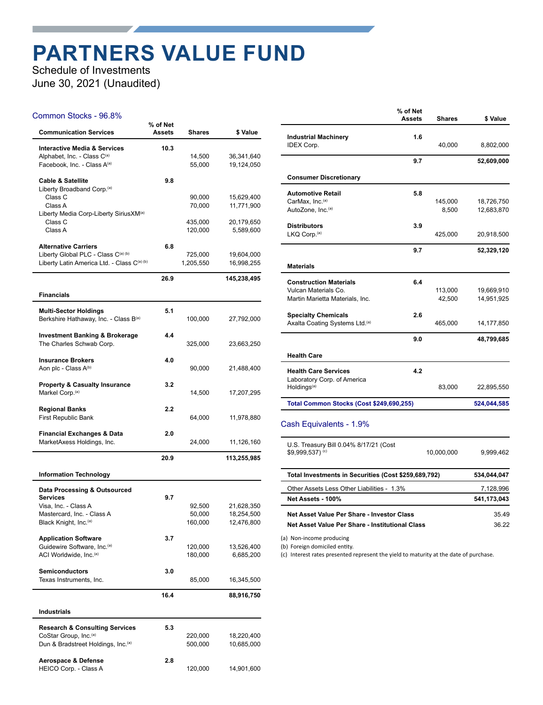## **PARTNERS VALUE FUND**

Schedule of Investments June 30, 2021 (Unaudited)

#### Common Stocks - 96.8%

| <b>Communication Services</b>                                       | % of Net<br><b>Assets</b> | Shares               | \$ Value                 |
|---------------------------------------------------------------------|---------------------------|----------------------|--------------------------|
| <b>Interactive Media &amp; Services</b>                             | 10.3                      |                      |                          |
| Alphabet, Inc. - Class C(a)<br>Facebook, Inc. - Class A(a)          |                           | 14,500<br>55,000     | 36,341,640<br>19,124,050 |
| <b>Cable &amp; Satellite</b>                                        | 9.8                       |                      |                          |
| Liberty Broadband Corp. <sup>(a)</sup><br>Class C                   |                           | 90,000               | 15,629,400               |
| Class A                                                             |                           | 70,000               | 11,771,900               |
| Liberty Media Corp-Liberty SiriusXM <sup>(a)</sup><br>Class C       |                           | 435,000              | 20,179,650               |
| Class A                                                             |                           | 120,000              | 5,589,600                |
| <b>Alternative Carriers</b>                                         | 6.8                       |                      |                          |
| Liberty Global PLC - Class C(a) (b)                                 |                           | 725,000<br>1,205,550 | 19,604,000<br>16,998,255 |
| Liberty Latin America Ltd. - Class C(a) (b)                         |                           |                      |                          |
|                                                                     | 26.9                      |                      | 145,238,495              |
| <b>Financials</b>                                                   |                           |                      |                          |
| <b>Multi-Sector Holdings</b>                                        | 5.1                       |                      |                          |
| Berkshire Hathaway, Inc. - Class B(a)                               |                           | 100,000              | 27,792,000               |
| <b>Investment Banking &amp; Brokerage</b>                           | 4.4                       |                      |                          |
| The Charles Schwab Corp.                                            |                           | 325,000              | 23,663,250               |
| <b>Insurance Brokers</b>                                            | 4.0                       |                      |                          |
| Aon plc - Class A <sup>(b)</sup>                                    |                           | 90,000               | 21,488,400               |
| <b>Property &amp; Casualty Insurance</b>                            | 3.2                       |                      |                          |
| Markel Corp. <sup>(a)</sup>                                         |                           | 14,500               | 17,207,295               |
| <b>Regional Banks</b>                                               | 2.2                       |                      |                          |
| <b>First Republic Bank</b>                                          |                           | 64,000               | 11,978,880               |
| <b>Financial Exchanges &amp; Data</b><br>MarketAxess Holdings, Inc. | 2.0                       | 24,000               | 11,126,160               |
|                                                                     | 20.9                      |                      | 113,255,985              |
| <b>Information Technology</b>                                       |                           |                      |                          |
| Data Processing & Outsourced                                        |                           |                      |                          |
| <b>Services</b><br>Visa, Inc. - Class A                             | 9.7                       | 92,500               | 21,628,350               |
| Mastercard, Inc. - Class A                                          |                           | 50,000               | 18,254,500               |
| Black Knight, Inc. <sup>(a)</sup>                                   |                           | 160,000              | 12,476,800               |
| <b>Application Software</b>                                         | 3.7                       |                      |                          |
| Guidewire Software, Inc. <sup>(a)</sup>                             |                           | 120,000              | 13,526,400               |
| ACI Worldwide, Inc. <sup>(a)</sup>                                  |                           | 180,000              | 6,685,200                |
| <b>Semiconductors</b>                                               | 3.0                       |                      |                          |
| Texas Instruments, Inc.                                             |                           | 85,000               | 16,345,500               |
|                                                                     | 16.4                      |                      | 88,916,750               |
| Industrials                                                         |                           |                      |                          |
| <b>Research &amp; Consulting Services</b>                           | 5.3                       |                      |                          |
| CoStar Group, Inc. <sup>(a)</sup>                                   |                           | 220,000              | 18,220,400               |
| Dun & Bradstreet Holdings, Inc. <sup>(a)</sup>                      |                           | 500,000              | 10,685,000               |
| Aerospace & Defense                                                 | 2.8                       |                      |                          |
| HEICO Corp. - Class A                                               |                           | 120,000              | 14,901,600               |

|                                                            | % of Net<br><b>Assets</b> | <b>Shares</b> | \$ Value    |
|------------------------------------------------------------|---------------------------|---------------|-------------|
| <b>Industrial Machinery</b>                                | 1.6                       |               |             |
| <b>IDEX Corp.</b>                                          |                           | 40,000        | 8,802,000   |
|                                                            | 9.7                       |               | 52,609,000  |
| <b>Consumer Discretionary</b>                              |                           |               |             |
| <b>Automotive Retail</b>                                   | 5.8                       |               |             |
| CarMax, Inc.(a)                                            |                           | 145,000       | 18,726,750  |
| AutoZone, Inc.(a)                                          |                           | 8,500         | 12,683,870  |
| <b>Distributors</b>                                        | 3.9                       |               |             |
| LKQ Corp. <sup>(a)</sup>                                   |                           | 425,000       | 20,918,500  |
|                                                            | 9.7                       |               | 52,329,120  |
| <b>Materials</b>                                           |                           |               |             |
| <b>Construction Materials</b>                              | 6.4                       |               |             |
| Vulcan Materials Co.                                       |                           | 113,000       | 19,669,910  |
| Martin Marietta Materials, Inc.                            |                           | 42,500        | 14,951,925  |
| <b>Specialty Chemicals</b>                                 | 2.6                       |               |             |
| Axalta Coating Systems Ltd.(a)                             |                           | 465,000       | 14,177,850  |
|                                                            | 9.0                       |               | 48,799,685  |
| <b>Health Care</b>                                         |                           |               |             |
| <b>Health Care Services</b>                                | 4.2                       |               |             |
| Laboratory Corp. of America                                |                           |               |             |
| Holdings <sup>(a)</sup>                                    |                           | 83,000        | 22,895,550  |
| Total Common Stocks (Cost \$249,690,255)                   |                           |               | 524,044,585 |
| Cash Equivalents - 1.9%                                    |                           |               |             |
| U.S. Treasury Bill 0.04% 8/17/21 (Cost<br>\$9,999,537) (c) |                           | 10,000,000    | 9,999,462   |
|                                                            |                           |               |             |

| Total Investments in Securities (Cost \$259,689,792) | 534.044.047 |
|------------------------------------------------------|-------------|
| Other Assets Less Other Liabilities - 1.3%           | 7.128.996   |
| Net Assets - 100%                                    | 541.173.043 |
| Net Asset Value Per Share - Investor Class           | 35.49       |
| Net Asset Value Per Share - Institutional Class      | 36.22       |

(a) Non-income producing

(b) Foreign domiciled entity.

(c) Interest rates presented represent the yield to maturity at the date of purchase.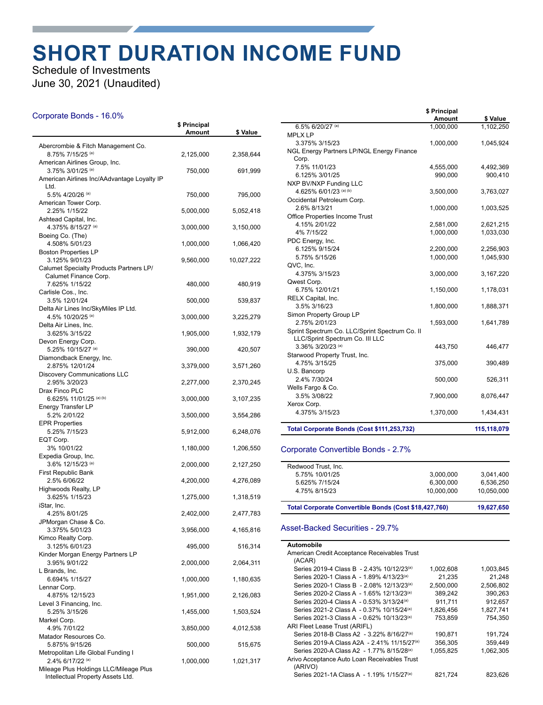### **SHORT DURATION INCOME FUND**

Schedule of Investments June 30, 2021 (Unaudited)

#### Corporate Bonds - 16.0%

|                                                                             | \$ Principal<br>Amount | \$ Value   |
|-----------------------------------------------------------------------------|------------------------|------------|
| Abercrombie & Fitch Management Co.                                          |                        |            |
| 8.75% 7/15/25 (a)                                                           | 2,125,000              | 2,358,644  |
| American Airlines Group, Inc.<br>3.75% 3/01/25 (a)                          | 750,000                | 691,999    |
| American Airlines Inc/AAdvantage Loyalty IP<br>Ltd.                         |                        |            |
| 5.5% 4/20/26 (a)<br>American Tower Corp.                                    | 750,000                | 795,000    |
| 2.25% 1/15/22                                                               | 5,000,000              | 5,052,418  |
| Ashtead Capital, Inc.<br>4.375% 8/15/27 (a)                                 | 3,000,000              | 3,150,000  |
| Boeing Co. (The)<br>4.508% 5/01/23                                          | 1,000,000              | 1,066,420  |
| <b>Boston Properties LP</b><br>3.125% 9/01/23                               | 9,560,000              | 10,027,222 |
| Calumet Specialty Products Partners LP/<br>Calumet Finance Corp.            |                        |            |
| 7.625% 1/15/22<br>Carlisle Cos., Inc.                                       | 480,000                | 480,919    |
| 3.5% 12/01/24                                                               | 500,000                | 539,837    |
| Delta Air Lines Inc/SkyMiles IP Ltd.<br>4.5% 10/20/25 (a)                   | 3,000,000              | 3,225,279  |
| Delta Air Lines, Inc.<br>3.625% 3/15/22                                     | 1,905,000              | 1,932,179  |
| Devon Energy Corp.<br>5.25% 10/15/27 (a)                                    | 390,000                | 420,507    |
| Diamondback Energy, Inc.<br>2.875% 12/01/24                                 | 3,379,000              | 3,571,260  |
| <b>Discovery Communications LLC</b><br>2.95% 3/20/23                        | 2,277,000              | 2,370,245  |
| Drax Finco PLC                                                              |                        |            |
| 6.625% 11/01/25 (a) (b)<br><b>Energy Transfer LP</b>                        | 3,000,000              | 3,107,235  |
| 5.2% 2/01/22<br><b>EPR Properties</b>                                       | 3,500,000              | 3,554,286  |
| 5.25% 7/15/23<br>EQT Corp.                                                  | 5,912,000              | 6,248,076  |
| 3% 10/01/22                                                                 | 1,180,000              | 1,206,550  |
| Expedia Group, Inc.<br>3.6% 12/15/23 (a)                                    | 2,000,000              | 2,127,250  |
| <b>First Republic Bank</b><br>2.5% 6/06/22                                  | 4,200,000              | 4,276,089  |
| Highwoods Realty, LP<br>3.625% 1/15/23                                      | 1,275,000              | 1,318,519  |
| iStar, Inc.<br>4.25% 8/01/25                                                | 2,402,000              | 2,477,783  |
| JPMorgan Chase & Co.                                                        |                        |            |
| 3.375% 5/01/23<br>Kimco Realty Corp.                                        | 3,956,000              | 4,165,816  |
| 3.125% 6/01/23<br>Kinder Morgan Energy Partners LP                          | 495,000                | 516,314    |
| 3.95% 9/01/22<br>L Brands, Inc.                                             | 2,000,000              | 2,064,311  |
| 6.694% 1/15/27                                                              | 1,000,000              | 1,180,635  |
| Lennar Corp.<br>4.875% 12/15/23                                             | 1,951,000              | 2,126,083  |
| Level 3 Financing, Inc.<br>5.25% 3/15/26                                    | 1,455,000              | 1,503,524  |
| Markel Corp.<br>4.9% 7/01/22                                                | 3,850,000              | 4,012,538  |
| Matador Resources Co.<br>5.875% 9/15/26                                     | 500,000                | 515,675    |
| Metropolitan Life Global Funding I<br>2.4% 6/17/22 (a)                      | 1,000,000              | 1,021,317  |
| Mileage Plus Holdings LLC/Mileage Plus<br>Intellectual Property Assets Ltd. |                        |            |

|                                                                                   | \$ Principal<br>Amount | \$ Value    |
|-----------------------------------------------------------------------------------|------------------------|-------------|
| 6.5% 6/20/27 (a)                                                                  | 1.000.000              | 1,102,250   |
| <b>MPLX LP</b>                                                                    |                        |             |
| 3.375% 3/15/23                                                                    | 1,000,000              | 1,045,924   |
| NGL Energy Partners LP/NGL Energy Finance                                         |                        |             |
| Corp.                                                                             |                        |             |
| 7.5% 11/01/23                                                                     | 4,555,000              | 4,492,369   |
| 6.125% 3/01/25                                                                    | 990,000                | 900,410     |
| NXP BV/NXP Funding LLC                                                            |                        |             |
| 4.625% 6/01/23 (a) (b)                                                            | 3,500,000              | 3,763,027   |
| Occidental Petroleum Corp.                                                        |                        |             |
| 2.6% 8/13/21                                                                      | 1,000,000              | 1,003,525   |
| <b>Office Properties Income Trust</b>                                             |                        |             |
| 4.15% 2/01/22                                                                     | 2,581,000              | 2,621,215   |
| 4% 7/15/22                                                                        | 1,000,000              | 1,033,030   |
| PDC Energy, Inc.                                                                  |                        |             |
| 6.125% 9/15/24                                                                    | 2,200,000              | 2,256,903   |
| 5.75% 5/15/26                                                                     | 1,000,000              | 1,045,930   |
| QVC, Inc.                                                                         |                        |             |
| 4.375% 3/15/23                                                                    | 3,000,000              | 3,167,220   |
| Qwest Corp.                                                                       |                        |             |
| 6.75% 12/01/21                                                                    | 1,150,000              | 1,178,031   |
| RELX Capital, Inc.                                                                |                        |             |
| 3.5% 3/16/23                                                                      | 1,800,000              | 1,888,371   |
| Simon Property Group LP                                                           |                        |             |
| 2.75% 2/01/23                                                                     | 1,593,000              | 1,641,789   |
| Sprint Spectrum Co. LLC/Sprint Spectrum Co. II<br>LLC/Sprint Spectrum Co. III LLC |                        |             |
| 3.36% 3/20/23 (a)                                                                 | 443,750                | 446,477     |
| Starwood Property Trust, Inc.                                                     |                        |             |
| 4.75% 3/15/25                                                                     | 375,000                | 390,489     |
| U.S. Bancorp                                                                      |                        |             |
| 2.4% 7/30/24                                                                      | 500,000                | 526,311     |
| Wells Fargo & Co.                                                                 |                        |             |
| 3.5% 3/08/22                                                                      | 7,900,000              | 8,076,447   |
| Xerox Corp.                                                                       |                        |             |
| 4.375% 3/15/23                                                                    | 1,370,000              | 1,434,431   |
| Total Corporate Bonds (Cost \$111,253,732)                                        |                        | 115,118,079 |

#### Corporate Convertible Bonds - 2.7%

| Total Corporate Convertible Bonds (Cost \$18,427,760) |            | 19.627.650 |
|-------------------------------------------------------|------------|------------|
| 4.75% 8/15/23                                         | 10.000.000 | 10,050,000 |
| 5.625% 7/15/24                                        | 6.300.000  | 6.536.250  |
| 5.75% 10/01/25                                        | 3.000.000  | 3.041.400  |
| Redwood Trust, Inc.                                   |            |            |

#### Asset-Backed Securities - 29.7%

#### **Automobile** American Credit Acceptance Receivables Trust (ACAR) Series 2019-4 Class B - 2.43% 10/12/23<sup>(a)</sup> 1,002,608 1,003,845 Series 2020-1 Class A - 1.89% 4/13/23(a) 21,235 21,248<br>Series 2020-1 Class B - 2.08% 12/13/23(a) 2,500,000 2,506,802 Series 2020-1 Class B - 2.08% 12/13/23<sup>(a)</sup> Series 2020-2 Class A - 1.65% 12/13/23<sup>(a)</sup> 389,242 390,263<br>Series 2020-4 Class A - 0.53% 3/13/24<sup>(a)</sup> 911,711 912,657 Series 2020-4 Class A - 0.53% 3/13/24(a) Series 2021-2 Class A - 0.37% 10/15/24<sup>(a)</sup> 1,826,456 1,827,741 Series 2021-3 Class A - 0.62% 10/13/23<sup>(a)</sup> 753,859 754,350 ARI Fleet Lease Trust (ARIFL) Series 2018-B Class A2 - 3.22% 8/16/27<sup>(a)</sup> 190,871 191,724 Series 2019-A Class A2A - 2.41% 11/15/27(a) 356,305 359,449<br>Series 2020-A Class A2 - 1.77% 8/15/28(a) 1,055,825 1,062,305 Series 2020-A Class A2 - 1.77% 8/15/28(a) Arivo Acceptance Auto Loan Receivables Trust (ARIVO) Series 2021-1A Class A - 1.19% 1/15/27<sup>(a)</sup> 821,724 823,626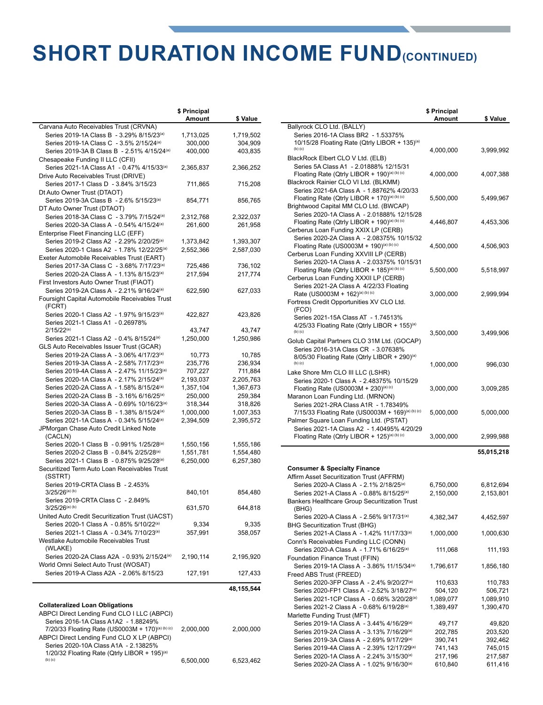### **SHORT DURATION INCOME FUND(CONTINUED)**

**a**

**a**

|                                                         | \$ Principal<br>Amount | \$ Value   |
|---------------------------------------------------------|------------------------|------------|
| Carvana Auto Receivables Trust (CRVNA)                  |                        |            |
| Series 2019-1A Class B - 3.29% 8/15/23 <sup>(a)</sup>   | 1,713,025              | 1,719,502  |
| Series 2019-1A Class C - 3.5% 2/15/24(a)                | 300,000                | 304,909    |
| Series 2019-3A B Class B - 2.51% 4/15/24 <sup>(a)</sup> | 400,000                | 403,835    |
| Chesapeake Funding II LLC (CFII)                        |                        |            |
| Series 2021-1A Class A1 - 0.47% 4/15/33 <sup>(a)</sup>  | 2,365,837              | 2,366,252  |
|                                                         |                        |            |
| Drive Auto Receivables Trust (DRIVE)                    |                        |            |
| Series 2017-1 Class D - 3.84% 3/15/23                   | 711,865                | 715,208    |
| Dt Auto Owner Trust (DTAOT)                             |                        |            |
| Series 2019-3A Class B - 2.6% 5/15/23 <sup>(a)</sup>    | 854,771                | 856,765    |
| DT Auto Owner Trust (DTAOT)                             |                        |            |
| Series 2018-3A Class C - 3.79% 7/15/24 <sup>(a)</sup>   | 2,312,768              | 2,322,037  |
| Series 2020-3A Class A - 0.54% 4/15/24(a)               | 261,600                | 261,958    |
| Enterprise Fleet Financing LLC (EFF)                    |                        |            |
| Series 2019-2 Class A2 - 2.29% 2/20/25 <sup>(a)</sup>   | 1,373,842              | 1,393,307  |
| Series 2020-1 Class A2 - 1.78% 12/22/25 <sup>(a)</sup>  | 2,552,366              | 2,587,030  |
| Exeter Automobile Receivables Trust (EART)              |                        |            |
| Series 2017-3A Class C - 3.68% 7/17/23 <sup>(a)</sup>   | 725,486                | 736,102    |
|                                                         |                        |            |
| Series 2020-2A Class A - 1.13% 8/15/23 <sup>(a)</sup>   | 217,594                | 217,774    |
| First Investors Auto Owner Trust (FIAOT)                |                        |            |
| Series 2019-2A Class A - 2.21% 9/16/24 <sup>(a)</sup>   | 622,590                | 627,033    |
| Foursight Capital Automobile Receivables Trust          |                        |            |
| (FCRT)                                                  |                        |            |
| Series 2020-1 Class A2 - 1.97% 9/15/23 <sup>(a)</sup>   | 422,827                | 423,826    |
| Series 2021-1 Class A1 - 0.26978%                       |                        |            |
| $2/15/22^{(a)}$                                         | 43,747                 | 43,747     |
| Series 2021-1 Class A2 - 0.4% 8/15/24(a)                | 1,250,000              | 1,250,986  |
| GLS Auto Receivables Issuer Trust (GCAR)                |                        |            |
| Series 2019-2A Class A - 3.06% 4/17/23 <sup>(a)</sup>   | 10,773                 | 10,785     |
| Series 2019-3A Class A - 2.58% 7/17/23(a)               | 235,776                | 236,934    |
| Series 2019-4A Class A - 2.47% 11/15/23 <sup>(a)</sup>  | 707,227                | 711,884    |
| Series 2020-1A Class A - 2.17% 2/15/24 <sup>(a)</sup>   | 2,193,037              | 2,205,763  |
|                                                         |                        |            |
| Series 2020-2A Class A - 1.58% 8/15/24 <sup>(a)</sup>   | 1,357,104              | 1,367,673  |
| Series 2020-2A Class B - 3.16% 6/16/25 <sup>(a)</sup>   | 250,000                | 259,384    |
| Series 2020-3A Class A - 0.69% 10/16/23 <sup>(a)</sup>  | 318,344                | 318,826    |
| Series 2020-3A Class B - 1.38% 8/15/24 <sup>(a)</sup>   | 1,000,000              | 1,007,353  |
| Series 2021-1A Class A - 0.34% 5/15/24 <sup>(a)</sup>   | 2,394,509              | 2,395,572  |
| JPMorgan Chase Auto Credit Linked Note                  |                        |            |
| (CACLN)                                                 |                        |            |
| Series 2020-1 Class B - 0.991% 1/25/28 <sup>(a)</sup>   | 1,550,156              | 1,555,186  |
| Series 2020-2 Class B - 0.84% 2/25/28(a)                | 1,551,781              | 1,554,480  |
| Series 2021-1 Class B - 0.875% 9/25/28 <sup>(a)</sup>   | 6,250,000              | 6,257,380  |
| Securitized Term Auto Loan Receivables Trust            |                        |            |
| (SSTRT)                                                 |                        |            |
| Series 2019-CRTA Class B - 2.453%                       |                        |            |
| 3/25/26 <sup>(a) (b)</sup>                              | 840,101                | 854,480    |
| Series 2019-CRTA Class C - 2.849%                       |                        |            |
| $3/25/26^{(a)(b)}$                                      | 631,570                | 644,818    |
|                                                         |                        |            |
| United Auto Credit Securitization Trust (UACST)         |                        |            |
| Series 2020-1 Class A - 0.85% 5/10/22(a)                | 9,334                  | 9,335      |
| Series 2021-1 Class A - 0.34% 7/10/23 <sup>(a)</sup>    | 357,991                | 358,057    |
| Westlake Automobile Receivables Trust                   |                        |            |
| (WLAKE)                                                 |                        |            |
| Series 2020-2A Class A2A - 0.93% 2/15/24 <sup>(a)</sup> | 2,190,114              | 2,195,920  |
| World Omni Select Auto Trust (WOSAT)                    |                        |            |
| Series 2019-A Class A2A - 2.06% 8/15/23                 | 127,191                | 127,433    |
|                                                         |                        |            |
|                                                         |                        | 48,155,544 |
|                                                         |                        |            |
| <b>Collateralized Loan Obligations</b>                  |                        |            |
| ABPCI Direct Lending Fund CLO I LLC (ABPCI)             |                        |            |
| Series 2016-1A Class A1A2 - 1.88249%                    |                        |            |
| 7/20/33 Floating Rate (US0003M + 170)(a) (b) (c)        | 2,000,000              | 2,000,000  |
| ABPCI Direct Lending Fund CLO X LP (ABPCI)              |                        |            |
| Series 2020-10A Class A1A - 2.13825%                    |                        |            |
| 1/20/32 Floating Rate (Qtrly LIBOR + 195)(a)            |                        |            |
| (b) (c)                                                 | 6.500.000              | 6.523.462  |

(b) (c) 6,500,000 6,523,462

|                                                                                                                  | \$ Principal |            |
|------------------------------------------------------------------------------------------------------------------|--------------|------------|
| Ballyrock CLO Ltd. (BALLY)                                                                                       | Amount       | \$ Value   |
| Series 2016-1A Class BR2 - 1.53375%                                                                              |              |            |
| 10/15/28 Floating Rate (Qtrly LIBOR + 135)(a)                                                                    |              |            |
| $(b)$ $(c)$                                                                                                      | 4,000,000    | 3,999,992  |
| BlackRock Elbert CLO V Ltd. (ELB)                                                                                |              |            |
| Series 5A Class A1 - 2.01888% 12/15/31                                                                           |              |            |
| Floating Rate (Qtrly LIBOR + 190)(a) (b) (c)                                                                     | 4,000,000    | 4,007,388  |
| Blackrock Rainier CLO VI Ltd. (BLKMM)                                                                            |              |            |
| Series 2021-6A Class A - 1.88762% 4/20/33                                                                        |              |            |
| Floating Rate (Qtrly LIBOR + 170)(a) (b) (c)                                                                     | 5,500,000    | 5,499,967  |
| Brightwood Capital MM CLO Ltd. (BWCAP)                                                                           |              |            |
| Series 2020-1A Class A - 2.01888% 12/15/28<br>Floating Rate (Qtrly LIBOR + 190)(a) (b) (c)                       |              |            |
| Cerberus Loan Funding XXIX LP (CERB)                                                                             | 4,446,807    | 4,453,306  |
| Series 2020-2A Class A - 2.08375% 10/15/32                                                                       |              |            |
| Floating Rate (US0003M + 190)(a) (b) (c)                                                                         | 4,500,000    | 4,506,903  |
| Cerberus Loan Funding XXVIII LP (CERB)                                                                           |              |            |
| Series 2020-1A Class A - 2.03375% 10/15/31                                                                       |              |            |
| Floating Rate (Qtrly LIBOR + 185)(a) (b) (c)                                                                     | 5,500,000    | 5,518,997  |
| Cerberus Loan Funding XXXII LP (CERB)                                                                            |              |            |
| Series 2021-2A Class A 4/22/33 Floating                                                                          |              |            |
| Rate (US0003M + 162)(a) (b) (c)                                                                                  | 3,000,000    | 2,999,994  |
| Fortress Credit Opportunities XV CLO Ltd.                                                                        |              |            |
| (FCO)                                                                                                            |              |            |
| Series 2021-15A Class AT - 1.74513%                                                                              |              |            |
| 4/25/33 Floating Rate (Qtrly LIBOR + 155)(a)<br>$(b)$ $(c)$                                                      |              |            |
|                                                                                                                  | 3,500,000    | 3,499,906  |
| Golub Capital Partners CLO 31M Ltd. (GOCAP)<br>Series 2016-31A Class CR - 3.07638%                               |              |            |
| 8/05/30 Floating Rate (Qtrly LIBOR + 290)(a)                                                                     |              |            |
| $(b)$ $(c)$                                                                                                      | 1,000,000    | 996,030    |
| Lake Shore Mm CLO III LLC (LSHR)                                                                                 |              |            |
| Series 2020-1 Class A - 2.48375% 10/15/29                                                                        |              |            |
| Floating Rate (US0003M + 230)(a) (c)                                                                             | 3,000,000    | 3,009,285  |
| Maranon Loan Funding Ltd. (MRNON)                                                                                |              |            |
| Series 2021-2RA Class A1R - 1.78349%                                                                             |              |            |
| 7/15/33 Floating Rate (US0003M + 169)(a) (b) (c)                                                                 | 5,000,000    | 5,000,000  |
| Palmer Square Loan Funding Ltd. (PSTAT)                                                                          |              |            |
| Series 2021-1A Class A2 - 1.40495% 4/20/29                                                                       |              |            |
| Floating Rate (Qtrly LIBOR + 125)(a) (b) (c)                                                                     | 3,000,000    | 2,999,988  |
|                                                                                                                  |              | 55,015,218 |
|                                                                                                                  |              |            |
| <b>Consumer &amp; Specialty Finance</b>                                                                          |              |            |
| Affirm Asset Securitization Trust (AFFRM)                                                                        |              |            |
| Series 2020-A Class A - 2.1% 2/18/25 <sup>(a)</sup>                                                              | 6,750,000    | 6,812,694  |
| Series 2021-A Class A - 0.88% 8/15/25 <sup>(a)</sup>                                                             | 2,150,000    | 2,153,801  |
| Bankers Healthcare Group Securitization Trust                                                                    |              |            |
| (BHG)                                                                                                            |              |            |
| Series 2020-A Class A - 2.56% 9/17/31(a)                                                                         | 4,382,347    | 4,452,597  |
| <b>BHG Securitization Trust (BHG)</b>                                                                            |              |            |
| Series 2021-A Class A - 1.42% 11/17/33(a)                                                                        | 1,000,000    | 1,000,630  |
| Conn's Receivables Funding LLC (CONN)                                                                            |              |            |
| Series 2020-A Class A - 1.71% 6/16/25 <sup>(a)</sup>                                                             | 111,068      | 111,193    |
| Foundation Finance Trust (FFIN)                                                                                  |              |            |
| Series 2019-1A Class A - 3.86% 11/15/34(a)                                                                       | 1,796,617    | 1,856,180  |
| Freed ABS Trust (FREED)                                                                                          |              |            |
| Series 2020-3FP Class A - 2.4% 9/20/27 <sup>(a)</sup>                                                            | 110,633      | 110,783    |
| Series 2020-FP1 Class A - 2.52% 3/18/27 <sup>(a)</sup><br>Series 2021-1CP Class A - 0.66% 3/20/28 <sup>(a)</sup> | 504,120      | 506,721    |
| Series 2021-2 Class A - 0.68% 6/19/28(a)                                                                         | 1,089,077    | 1,089,910  |
| Marlette Funding Trust (MFT)                                                                                     | 1,389,497    | 1,390,470  |
| Series 2019-1A Class A - 3.44% 4/16/29 <sup>(a)</sup>                                                            | 49,717       | 49,820     |
| Series 2019-2A Class A - 3.13% 7/16/29 <sup>(a)</sup>                                                            | 202,785      | 203,520    |
| Series 2019-3A Class A - 2.69% 9/17/29 <sup>(a)</sup>                                                            | 390,741      | 392,462    |

Series 2019-3A Class A - 2.69% 9/17/29<sup>(a)</sup> 390,741 392,462<br>Series 2019-4A Class A - 2.39% 12/17/29<sup>(a)</sup> 741,143 745,015 Series 2019-4A Class A - 2.39% 12/17/29<sup>(a)</sup> 741,143 745,015<br>Series 2020-1A Class A - 2.24% 3/15/30<sup>(a)</sup> 217,196 217,587 Series 2020-1A Class A - 2.24% 3/15/30<sup>(a)</sup> 217,196 217,587<br>Series 2020-2A Class A - 1.02% 9/16/30<sup>(a)</sup> 610,840 611,416

Series 2020-2A Class A - 1.02% 9/16/30(a)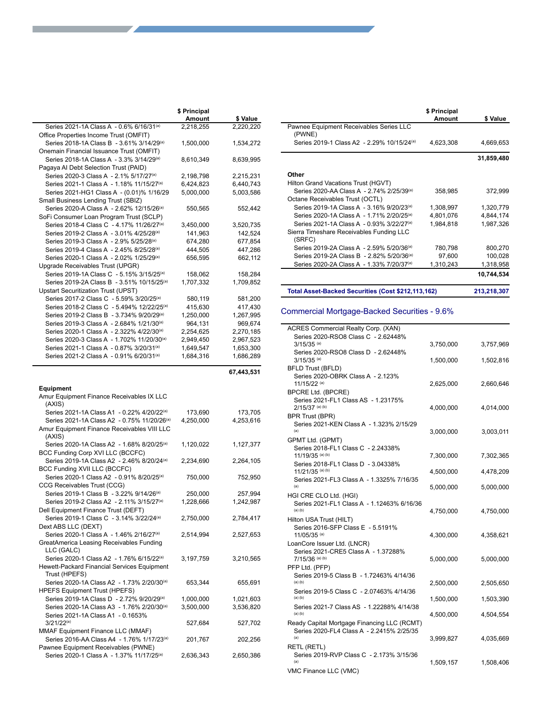|                                                               | \$ Principal |           |
|---------------------------------------------------------------|--------------|-----------|
|                                                               | Amount       | \$ Value  |
| Series 2021-1A Class A - 0.6% 6/16/31(a)                      | 2,218,255    | 2,220,220 |
| Office Properties Income Trust (OMFIT)                        |              |           |
| Series 2018-1A Class B - 3.61% 3/14/29(a)                     | 1,500,000    | 1,534,272 |
| Onemain Financial Issuance Trust (OMFIT)                      |              |           |
| Series 2018-1A Class A - 3.3% 3/14/29 <sup>(a)</sup>          | 8,610,349    | 8,639,995 |
| Pagaya AI Debt Selection Trust (PAID)                         |              |           |
| Series 2020-3 Class A - 2.1% 5/17/27 <sup>(a)</sup>           | 2,198,798    | 2,215,231 |
| Series 2021-1 Class A - 1.18% 11/15/27 <sup>(a)</sup>         | 6,424,823    | 6,440,743 |
| Series 2021-HG1 Class A - (0.01)% 1/16/29                     | 5,000,000    | 5,003,586 |
| Small Business Lending Trust (SBIZ)                           |              |           |
| Series 2020-A Class A - 2.62% 12/15/26 <sup>(a)</sup>         | 550,565      | 552,442   |
| SoFi Consumer Loan Program Trust (SCLP)                       |              |           |
| Series 2018-4 Class C - 4.17% 11/26/27 <sup>(a)</sup>         | 3,450,000    | 3,520,735 |
| Series 2019-2 Class A - 3.01% 4/25/28(a)                      | 141,963      |           |
|                                                               |              | 142,524   |
| Series 2019-3 Class A - 2.9% 5/25/28(a)                       | 674,280      | 677,854   |
| Series 2019-4 Class A - 2.45% 8/25/28(a)                      | 444,505      | 447,286   |
| Series 2020-1 Class A - 2.02% 1/25/29 <sup>(a)</sup>          | 656,595      | 662,112   |
| Upgrade Receivables Trust (UPGR)                              |              |           |
| Series 2019-1A Class C - 5.15% 3/15/25 <sup>(a)</sup>         | 158,062      | 158,284   |
| Series 2019-2A Class B - 3.51% 10/15/25 <sup>(a)</sup>        | 1,707,332    | 1,709,852 |
| <b>Upstart Securitization Trust (UPST)</b>                    |              |           |
| Series 2017-2 Class C - 5.59% 3/20/25 <sup>(a)</sup>          | 580,119      | 581,200   |
| Series 2018-2 Class C - 5.494% 12/22/25 <sup>(a)</sup>        | 415,630      | 417,430   |
| Series 2019-2 Class B - 3.734% 9/20/29 <sup>(a)</sup>         | 1,250,000    | 1,267,995 |
| Series 2019-3 Class A - 2.684% 1/21/30 <sup>(a)</sup>         | 964,131      | 969,674   |
| Series 2020-1 Class A - 2.322% 4/22/30(a)                     | 2,254,625    | 2,270,185 |
| Series 2020-3 Class A - 1.702% 11/20/30 <sup>(a)</sup>        | 2,949,450    | 2,967,523 |
| Series 2021-1 Class A - 0.87% 3/20/31(a)                      | 1,649,547    | 1,653,300 |
| Series 2021-2 Class A - 0.91% 6/20/31(a)                      | 1,684,316    | 1,686,289 |
|                                                               |              |           |
| <b>Equipment</b><br>Amur Equipment Finance Receivables IX LLC |              |           |
| (AXIS)                                                        |              |           |
| Series 2021-1A Class A1 - 0.22% 4/20/22(a)                    | 173,690      | 173,705   |
| Series 2021-1A Class A2 - 0.75% 11/20/26 <sup>(a)</sup>       | 4,250,000    | 4,253,616 |
| Amur Equipment Finance Receivables VIII LLC                   |              |           |
| (AXIS)                                                        |              |           |
| Series 2020-1A Class A2 - 1.68% 8/20/25 <sup>(a)</sup>        | 1,120,022    | 1,127,377 |
| BCC Funding Corp XVI LLC (BCCFC)                              |              |           |
| Series 2019-1A Class A2 - 2.46% 8/20/24 <sup>(a)</sup>        | 2,234,690    |           |
|                                                               |              | 2,264,105 |
| BCC Funding XVII LLC (BCCFC)                                  |              |           |
| Series 2020-1 Class A2 - 0.91% 8/20/25 <sup>(a)</sup>         | 750,000      | 752,950   |
| CCG Receivables Trust (CCG)                                   |              |           |
| Series 2019-1 Class B - 3.22% 9/14/26 <sup>(a)</sup>          | 250,000      | 257,994   |
| Series 2019-2 Class A2 - 2.11% 3/15/27 <sup>(a)</sup>         | 1,228,666    | 1,242,987 |
| Dell Equipment Finance Trust (DEFT)                           |              |           |
| Series 2019-1 Class C - 3.14% 3/22/24(a)                      | 2,750,000    | 2,784,417 |
| Dext ABS LLC (DEXT)                                           |              |           |
| Series 2020-1 Class A - 1.46% 2/16/27 <sup>(a)</sup>          | 2,514,994    | 2,527,653 |
| GreatAmerica Leasing Receivables Funding                      |              |           |
| LLC (GALC)                                                    |              |           |
| Series 2020-1 Class A2 - 1.76% 6/15/22(a)                     | 3,197,759    | 3,210,565 |
| Hewett-Packard Financial Services Equipment                   |              |           |
| Trust (HPEFS)                                                 |              |           |
| Series 2020-1A Class A2 - 1.73% 2/20/30 <sup>(a)</sup>        | 653,344      | 655,691   |
| <b>HPEFS Equipment Trust (HPEFS)</b>                          |              |           |
| Series 2019-1A Class D - 2.72% 9/20/29 <sup>(a)</sup>         | 1,000,000    | 1,021,603 |
| Series 2020-1A Class A3 - 1.76% 2/20/30(a)                    | 3,500,000    | 3,536,820 |
| Series 2021-1A Class A1 - 0.1653%                             |              |           |
| $3/21/22^{(a)}$                                               | 527,684      | 527,702   |
| MMAF Equipment Finance LLC (MMAF)                             |              |           |
| Series 2016-AA Class A4 - 1.76% 1/17/23 <sup>(a)</sup>        | 201,767      | 202,256   |
| Pawnee Equipment Receivables (PWNE)                           |              |           |
| Series 2020-1 Class A - 1.37% 11/17/25(a)                     | 2,636,343    | 2,650,386 |

|                                                        | \$ Principal<br>Amount | \$ Value   |
|--------------------------------------------------------|------------------------|------------|
| Pawnee Equipment Receivables Series LLC<br>(PWNE)      |                        |            |
| Series 2019-1 Class A2 - 2.29% 10/15/24 <sup>(a)</sup> | 4,623,308              | 4,669,653  |
|                                                        |                        | 31,859,480 |
| Other                                                  |                        |            |
| Hilton Grand Vacations Trust (HGVT)                    |                        |            |
| Series 2020-AA Class A - 2.74% 2/25/39(a)              | 358,985                | 372,999    |
| Octane Receivables Trust (OCTL)                        |                        |            |
| Series 2019-1A Class A - 3.16% 9/20/23(a)              | 1,308,997              | 1,320,779  |
| Series 2020-1A Class A - 1.71% 2/20/25 <sup>(a)</sup>  | 4,801,076              | 4,844,174  |
| Series 2021-1A Class A - 0.93% 3/22/27 <sup>(a)</sup>  | 1,984,818              | 1,987,326  |
| Sierra Timeshare Receivables Funding LLC<br>(SRFC)     |                        |            |
| Series 2019-2A Class A - 2.59% 5/20/36 <sup>(a)</sup>  | 780,798                | 800,270    |
| Series 2019-2A Class B - 2.82% 5/20/36 <sup>(a)</sup>  | 97,600                 | 100,028    |
| Series 2020-2A Class A - 1.33% 7/20/37 <sup>(a)</sup>  | 1,310,243              | 1,318,958  |
|                                                        |                        |            |
|                                                        |                        | 10,744,534 |

**Total Asset-Backed Securities (Cost \$212,113,162) 213,218,307**

#### Commercial Mortgage-Backed Securities - 9.6%

| ACRES Commercial Realty Corp. (XAN)                                |           |           |
|--------------------------------------------------------------------|-----------|-----------|
| Series 2020-RSO8 Class C - 2.62448%                                |           |           |
| $3/15/35$ <sup>(a)</sup>                                           | 3,750,000 | 3,757,969 |
| Series 2020-RSO8 Class D - 2.62448%<br>$3/15/35$ (a)               | 1,500,000 | 1,502,816 |
| <b>BFLD Trust (BFLD)</b>                                           |           |           |
| Series 2020-OBRK Class A - 2.123%                                  |           |           |
| 11/15/22 (a)                                                       | 2,625,000 | 2,660,646 |
| <b>BPCRE Ltd. (BPCRE)</b>                                          |           |           |
| Series 2021-FL1 Class AS - 1.23175%                                |           |           |
| $2/15/37$ (a) (b)                                                  | 4,000,000 | 4,014,000 |
| <b>BPR Trust (BPR)</b><br>Series 2021-KEN Class A - 1.323% 2/15/29 |           |           |
| (a)                                                                | 3,000,000 | 3,003,011 |
| GPMT Ltd. (GPMT)                                                   |           |           |
| Series 2018-FL1 Class C - 2.24338%                                 |           |           |
| 11/19/35 (a) (b)                                                   | 7,300,000 | 7,302,365 |
| Series 2018-FL1 Class D - 3.04338%                                 |           |           |
| 11/21/35 (a) (b)<br>Series 2021-FL3 Class A - 1.3325% 7/16/35      | 4,500,000 | 4,478,209 |
| (a)                                                                | 5,000,000 | 5,000,000 |
| HGI CRE CLO Ltd. (HGI)                                             |           |           |
| Series 2021-FL1 Class A - 1.12463% 6/16/36                         |           |           |
| $(a)$ $(b)$                                                        | 4,750,000 | 4,750,000 |
| Hilton USA Trust (HILT)<br>Series 2016-SFP Class E - 5.5191%       |           |           |
| 11/05/35 (a)                                                       | 4,300,000 | 4,358,621 |
| LoanCore Issuer Ltd. (LNCR)                                        |           |           |
| Series 2021-CRE5 Class A - 1.37288%                                |           |           |
| $7/15/36$ (a) (b)                                                  | 5,000,000 | 5,000,000 |
| PFP Ltd. (PFP)                                                     |           |           |
| Series 2019-5 Class B - 1.72463% 4/14/36<br>$(a)$ $(b)$            | 2,500,000 |           |
| Series 2019-5 Class C - 2.07463% 4/14/36                           |           | 2,505,650 |
| $(a)$ $(b)$                                                        | 1,500,000 | 1,503,390 |
| Series 2021-7 Class AS - 1.22288% 4/14/38                          |           |           |
| $(a)$ $(b)$                                                        | 4,500,000 | 4,504,554 |
| Ready Capital Mortgage Financing LLC (RCMT)                        |           |           |
| Series 2020-FL4 Class A - 2.2415% 2/25/35<br>(a)                   | 3,999,827 | 4,035,669 |
| RETL (RETL)                                                        |           |           |
| Series 2019-RVP Class C - 2.173% 3/15/36                           |           |           |
| (a)                                                                | 1,509,157 | 1,508,406 |
| VMC Finance LLC (VMC)                                              |           |           |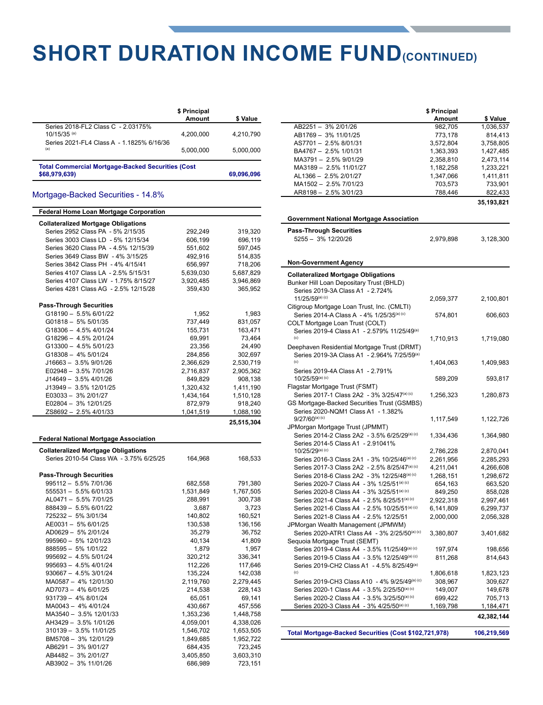### **SHORT DURATION INCOME FUND(CONTINUED)**

|                                                                                                              | \$ Principal<br>Amount | \$ Value   |
|--------------------------------------------------------------------------------------------------------------|------------------------|------------|
| Series 2018-FL2 Class C - 2.03175%<br>$10/15/35$ <sup>(a)</sup><br>Series 2021-FL4 Class A - 1.1825% 6/16/36 | 4.200.000              | 4,210,790  |
| (a)                                                                                                          | 5.000.000              | 5.000.000  |
| <b>Total Commercial Mortgage-Backed Securities (Cost</b><br>\$68,979,639)                                    |                        | 69,096,096 |

#### Mortgage-Backed Securities - 14.8%

| <b>Federal Home Loan Mortgage Corporation</b> |                      |                      |
|-----------------------------------------------|----------------------|----------------------|
| <b>Collateralized Mortgage Obligations</b>    |                      |                      |
| Series 2952 Class PA - 5% 2/15/35             | 292,249              | 319,320              |
| Series 3003 Class LD - 5% 12/15/34            | 606,199              | 696,119              |
| Series 3620 Class PA - 4.5% 12/15/39          | 551,602              | 597,045              |
| Series 3649 Class BW - 4% 3/15/25             | 492,916              | 514,835              |
| Series 3842 Class PH - 4% 4/15/41             | 656,997              | 718,206              |
| Series 4107 Class LA - 2.5% 5/15/31           | 5,639,030            | 5,687,829            |
| Series 4107 Class LW - 1.75% 8/15/27          | 3,920,485            | 3,946,869            |
| Series 4281 Class AG - 2.5% 12/15/28          | 359,430              | 365,952              |
| <b>Pass-Through Securities</b>                |                      |                      |
| G18190 - 5.5% 6/01/22                         | 1,952                | 1,983                |
| G01818 - 5% 5/01/35                           | 737,449              | 831,057              |
| G18306 - 4.5% 4/01/24                         | 155,731              | 163,471              |
| G18296 - 4.5% 2/01/24                         |                      |                      |
|                                               | 69,991               | 73,464               |
| G13300 - 4.5% 5/01/23                         | 23,356               | 24,490               |
| G18308 - 4% 5/01/24                           | 284,856              | 302,697              |
| J16663 - 3.5% 9/01/26                         | 2,366,629            | 2,530,719            |
| E02948 - 3.5% 7/01/26                         | 2,716,837            | 2,905,362            |
| J14649 - 3.5% 4/01/26                         | 849,829              | 908,138              |
| J13949 - 3.5% 12/01/25                        | 1,320,432            | 1,411,190            |
| E03033- 3% 2/01/27                            | 1,434,164            | 1,510,128            |
| E02804 - 3% 12/01/25                          | 872,979              | 918,240              |
| ZS8692 - 2.5% 4/01/33                         | 1,041,519            | 1,088,190            |
|                                               |                      | 25,515,304           |
| <b>Federal National Mortgage Association</b>  |                      |                      |
|                                               |                      |                      |
|                                               |                      |                      |
| <b>Collateralized Mortgage Obligations</b>    |                      |                      |
| Series 2010-54 Class WA - 3.75% 6/25/25       | 164,968              | 168,533              |
| <b>Pass-Through Securities</b>                |                      |                      |
| 995112 - 5.5% 7/01/36                         | 682,558              | 791,380              |
| 555531 - 5.5% 6/01/33                         | 1,531,849            | 1,767,505            |
| AL0471 - 5.5% 7/01/25                         | 288,991              | 300,738              |
|                                               | 3.687                | 3,723                |
| 888439 - 5.5% 6/01/22<br>725232 - 5% 3/01/34  |                      |                      |
|                                               | 140,802              | 160,521              |
| AE0031- 5% 6/01/25                            | 130,538              | 136,156              |
| AD0629 - 5% 2/01/24                           | 35,279               | 36,752               |
| 995960 - 5% 12/01/23                          | 40,134               | 41,809               |
| 888595 - 5% 1/01/22                           | 1,879                | 1,957                |
| 995692 - 4.5% 5/01/24                         | 320,212              | 336,341              |
| 995693 - 4.5% 4/01/24                         | 112,226              | 117,646              |
| 930667 - 4.5% 3/01/24                         | 135,224              | 142,038              |
| MA0587 - 4% 12/01/30                          | 2,119,760            | 2,279,445            |
| AD7073-4% 6/01/25                             | 214,538              | 228,143              |
| 931739 - 4% 8/01/24                           | 65,051               | 69,141               |
| MA0043 - 4% 4/01/24                           | 430,667              | 457,556              |
| MA3540 - 3.5% 12/01/33                        | 1,353,236            | 1,448,758            |
| AH3429 - 3.5% 1/01/26                         | 4,059,001            | 4,338,026            |
| 310139 - 3.5% 11/01/25                        | 1,546,702            | 1,653,505            |
| BM5708 - 3% 12/01/29                          | 1,849,685            | 1,952,722            |
| AB6291 - 3% 9/01/27                           | 684,435              | 723,245              |
| AB4482 - 3% 2/01/27<br>AB3902 - 3% 11/01/26   | 3,405,850<br>686,989 | 3,603,310<br>723,151 |

|                                                         | \$ Principal |             |
|---------------------------------------------------------|--------------|-------------|
|                                                         | Amount       | \$ Value    |
| AB2251 - 3% 2/01/26                                     | 982,705      | 1,036,537   |
| AB1769 - 3% 11/01/25                                    | 773,178      | 814,413     |
| AS7701-2.5% 8/01/31                                     | 3,572,804    | 3,758,805   |
| BA4767 - 2.5% 1/01/31                                   | 1,363,393    | 1,427,485   |
| MA3791-2.5% 9/01/29                                     | 2,358,810    | 2,473,114   |
| MA3189 - 2.5% 11/01/27                                  | 1,182,258    | 1,233,221   |
| AL1366 - 2.5% 2/01/27                                   | 1,347,066    | 1,411,811   |
| MA1502 - 2.5% 7/01/23                                   | 703,573      | 733,901     |
| AR8198 - 2.5% 3/01/23                                   | 788,446      | 822,433     |
|                                                         |              | 35,193,821  |
|                                                         |              |             |
| <b>Government National Mortgage Association</b>         |              |             |
| <b>Pass-Through Securities</b>                          |              |             |
| 5255 - 3% 12/20/26                                      | 2,979,898    | 3,128,300   |
|                                                         |              |             |
|                                                         |              |             |
| <b>Non-Government Agency</b>                            |              |             |
| <b>Collateralized Mortgage Obligations</b>              |              |             |
| Bunker Hill Loan Depositary Trust (BHLD)                |              |             |
| Series 2019-3A Class A1 - 2.724%                        |              |             |
| 11/25/59(a) (c)                                         | 2,059,377    | 2,100,801   |
| Citigroup Mortgage Loan Trust, Inc. (CMLTI)             |              |             |
| Series 2014-A Class A - 4% 1/25/35 <sup>(a) (c)</sup>   | 574,801      | 606,603     |
| COLT Mortgage Loan Trust (COLT)                         |              |             |
| Series 2019-4 Class A1 - 2.579% 11/25/49 <sup>(a)</sup> |              |             |
| (c)                                                     | 1,710,913    | 1,719,080   |
| Deephaven Residential Mortgage Trust (DRMT)             |              |             |
| Series 2019-3A Class A1 - 2.964% 7/25/59 <sup>(a)</sup> |              |             |
| (c)                                                     | 1,404,063    | 1,409,983   |
| Series 2019-4A Class A1 - 2.791%                        |              |             |
| 10/25/59(a) (c)                                         | 589,209      | 593,817     |
| Flagstar Mortgage Trust (FSMT)                          |              |             |
| Series 2017-1 Class 2A2 - 3% 3/25/47(a) (c)             | 1,256,323    | 1,280,873   |
| GS Mortgage-Backed Securities Trust (GSMBS)             |              |             |
| Series 2020-NQM1 Class A1 - 1.382%                      |              |             |
| $9/27/60^{(a)(c)}$                                      | 1,117,549    | 1,122,726   |
| JPMorgan Mortgage Trust (JPMMT)                         |              |             |
| Series 2014-2 Class 2A2 - 3.5% 6/25/29(a) (c)           | 1,334,436    | 1,364,980   |
| Series 2014-5 Class A1 - 2.91041%                       |              |             |
| 10/25/29(a) (c)                                         | 2,786,228    | 2,870,041   |
| Series 2016-3 Class 2A1 - 3% 10/25/46(a) (c)            | 2,261,956    | 2,285,293   |
| Series 2017-3 Class 2A2 - 2.5% 8/25/47(a) (c)           | 4,211,041    | 4,266,608   |
| Series 2018-6 Class 2A2 - 3% 12/25/48(a) (c)            | 1,268,151    | 1,298,672   |
| Series 2020-7 Class A4 - 3% 1/25/51(a) (c)              | 654,163      | 663,520     |
| Series 2020-8 Class A4 - 3% 3/25/51(a) (c)              | 849,250      | 858,028     |
| Series 2021-4 Class A4 - 2.5% 8/25/51(a) (c)            | 2,922,318    | 2,997,461   |
| Series 2021-6 Class A4 - 2.5% 10/25/51(a) (c)           | 6,141,809    | 6,299,737   |
| Series 2021-8 Class A4 - 2.5% 12/25/51                  | 2,000,000    | 2,056,328   |
| JPMorgan Wealth Management (JPMWM)                      |              |             |
| Series 2020-ATR1 Class A4 - 3% 2/25/50(a) (c)           | 3,380,807    | 3,401,682   |
| Sequoia Mortgage Trust (SEMT)                           |              |             |
| Series 2019-4 Class A4 - 3.5% 11/25/49(a) (c)           | 197,974      | 198,656     |
| Series 2019-5 Class A4 - 3.5% 12/25/49(a) (c)           | 811,268      | 814,643     |
| Series 2019-CH2 Class A1 - 4.5% 8/25/49 <sup>(a)</sup>  |              |             |
| (c)                                                     | 1,806,618    | 1,823,123   |
| Series 2019-CH3 Class A10 - 4% 9/25/49(a) (c)           | 308,967      | 309,627     |
| Series 2020-1 Class A4 - 3.5% 2/25/50(a) (c)            | 149,007      | 149,678     |
| Series 2020-2 Class A4 - 3.5% 3/25/50(a) (c)            | 699,422      | 705,713     |
| Series 2020-3 Class A4 - 3% 4/25/50(a) (c)              | 1,169,798    | 1,184,471   |
|                                                         |              | 42,382,144  |
|                                                         |              |             |
| Total Mortgage-Backed Securities (Cost \$102,721,978)   |              | 106,219,569 |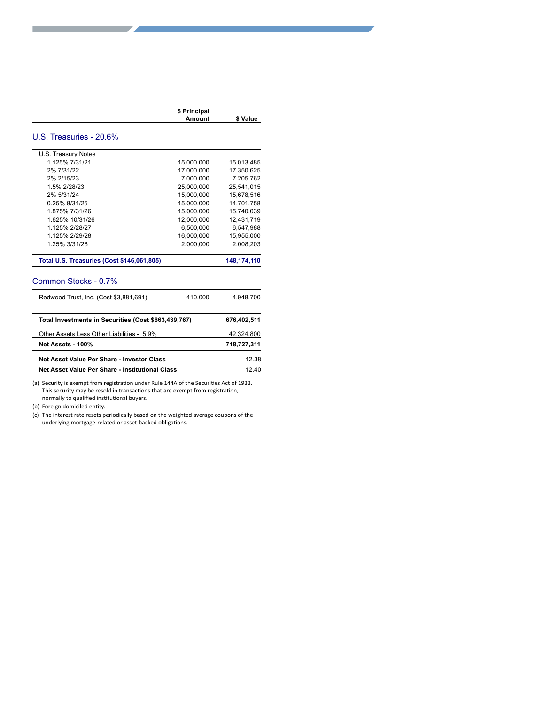| \$ Principal |          |
|--------------|----------|
| Amount       | \$ Value |
|              |          |

#### U.S. Treasuries - 20.6%

**a**

**a**

| U.S. Treasury Notes                                  |            |               |
|------------------------------------------------------|------------|---------------|
| 1.125% 7/31/21                                       | 15,000,000 | 15,013,485    |
| 2% 7/31/22                                           | 17.000.000 | 17.350.625    |
| 2% 2/15/23                                           | 7.000.000  | 7.205.762     |
| 1.5% 2/28/23                                         | 25.000.000 | 25.541.015    |
| 2% 5/31/24                                           | 15,000,000 | 15,678,516    |
| 0.25% 8/31/25                                        | 15.000.000 | 14.701.758    |
| 1.875% 7/31/26                                       | 15.000.000 | 15.740.039    |
| 1.625% 10/31/26                                      | 12,000,000 | 12,431,719    |
| 1.125% 2/28/27                                       | 6,500,000  | 6,547,988     |
| 1.125% 2/29/28                                       | 16.000.000 | 15,955,000    |
| 1.25% 3/31/28                                        | 2.000.000  | 2.008.203     |
| <b>Total U.S. Treasuries (Cost \$146,061,805)</b>    |            | 148, 174, 110 |
| Common Stocks - 0.7%                                 |            |               |
| Redwood Trust, Inc. (Cost \$3,881,691)               | 410,000    | 4,948,700     |
| Total Investments in Securities (Cost \$663,439,767) |            | 676,402,511   |
| Other Assets Less Other Liabilities - 5.9%           |            | 42,324,800    |
| Net Assets - 100%                                    |            | 718,727,311   |
|                                                      |            |               |
| Net Asset Value Per Share - Investor Class           |            | 12.38         |
| Net Asset Value Per Share - Institutional Class      |            | 12.40         |

(a) Security is exempt from registration under Rule 144A of the Securities Act of 1933. This security may be resold in transactions that are exempt from registration, normally to qualified institutional buyers.

(b) Foreign domiciled entity.

(c) The interest rate resets periodically based on the weighted average coupons of the underlying mortgage-related or asset-backed obligations.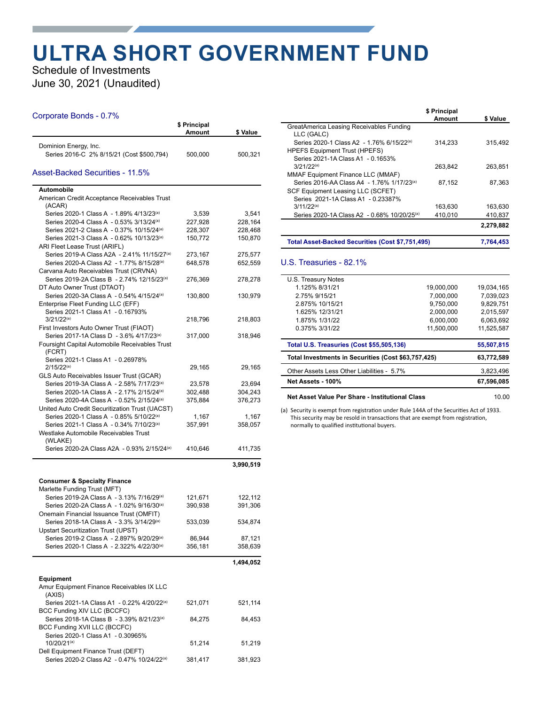### **ULTRA SHORT GOVERNMENT FUND**

#### Schedule of Investments June 30, 2021 (Unaudited)

#### Corporate Bonds - 0.7%

| Ourporate Donas - 0.7 70                                                                                       | \$ Principal<br>Amount | \$ Value           |
|----------------------------------------------------------------------------------------------------------------|------------------------|--------------------|
| Dominion Energy, Inc.<br>Series 2016-C 2% 8/15/21 (Cost \$500,794)                                             | 500,000                | 500,321            |
| Asset-Backed Securities - 11.5%                                                                                |                        |                    |
| Automobile                                                                                                     |                        |                    |
| American Credit Acceptance Receivables Trust<br>(ACAR)                                                         |                        |                    |
| Series 2020-1 Class A - 1.89% 4/13/23(a)                                                                       | 3,539                  | 3,541              |
| Series 2020-4 Class A - 0.53% 3/13/24(a)                                                                       | 227,928                | 228,164            |
| Series 2021-2 Class A - 0.37% 10/15/24 <sup>(a)</sup>                                                          | 228,307                | 228,468            |
| Series 2021-3 Class A - 0.62% 10/13/23 <sup>(a)</sup><br>ARI Fleet Lease Trust (ARIFL)                         | 150,772                | 150,870            |
| Series 2019-A Class A2A - 2.41% 11/15/27 <sup>(a)</sup><br>Series 2020-A Class A2 - 1.77% 8/15/28(a)           | 273,167<br>648,578     | 275,577<br>652,559 |
| Carvana Auto Receivables Trust (CRVNA)                                                                         |                        |                    |
| Series 2019-2A Class B - 2.74% 12/15/23 <sup>(a)</sup><br>DT Auto Owner Trust (DTAOT)                          | 276,369                | 278,278            |
| Series 2020-3A Class A - 0.54% 4/15/24 <sup>(a)</sup>                                                          | 130,800                | 130,979            |
| Enterprise Fleet Funding LLC (EFF)<br>Series 2021-1 Class A1 - 0.16793%                                        |                        |                    |
| $3/21/22^{(a)}$<br>First Investors Auto Owner Trust (FIAOT)                                                    | 218,796                | 218,803            |
| Series 2017-1A Class D - 3.6% 4/17/23 <sup>(a)</sup>                                                           | 317,000                | 318,946            |
| Foursight Capital Automobile Receivables Trust<br>(FCRT)                                                       |                        |                    |
| Series 2021-1 Class A1 - 0.26978%                                                                              |                        |                    |
| $2/15/22^{(a)}$                                                                                                | 29,165                 | 29,165             |
| GLS Auto Receivables Issuer Trust (GCAR)                                                                       |                        |                    |
| Series 2019-3A Class A - 2.58% 7/17/23 <sup>(a)</sup><br>Series 2020-1A Class A - 2.17% 2/15/24 <sup>(a)</sup> | 23,578<br>302,488      | 23,694<br>304,243  |
| Series 2020-4A Class A - 0.52% 2/15/24 <sup>(a)</sup>                                                          | 375,884                | 376,273            |
| United Auto Credit Securitization Trust (UACST)                                                                |                        |                    |
| Series 2020-1 Class A - 0.85% 5/10/22(a)                                                                       | 1,167                  | 1,167              |
| Series 2021-1 Class A - 0.34% 7/10/23 <sup>(a)</sup>                                                           | 357,991                | 358,057            |
| Westlake Automobile Receivables Trust                                                                          |                        |                    |
| (WLAKE)<br>Series 2020-2A Class A2A - 0.93% 2/15/24 <sup>(a)</sup>                                             | 410,646                | 411,735            |
|                                                                                                                |                        | 3,990,519          |
| <b>Consumer &amp; Specialty Finance</b>                                                                        |                        |                    |
| Marlette Funding Trust (MFT)<br>Series 2019-2A Class A - 3.13% 7/16/29 <sup>(a)</sup>                          | 121,671                | 122,112            |
| Series 2020-2A Class A - 1.02% 9/16/30 <sup>(a)</sup>                                                          | 390,938                | 391,306            |
| Onemain Financial Issuance Trust (OMFIT)                                                                       |                        |                    |
| Series 2018-1A Class A - 3.3% 3/14/29(a)                                                                       | 533,039                | 534,874            |
| <b>Upstart Securitization Trust (UPST)</b>                                                                     |                        |                    |
| Series 2019-2 Class A - 2.897% 9/20/29 <sup>(a)</sup>                                                          | 86,944                 | 87,121             |
| Series 2020-1 Class A - 2.322% 4/22/30 <sup>(a)</sup>                                                          | 356,181                | 358,639            |
|                                                                                                                |                        | 1,494,052          |
| <b>Equipment</b><br>Amur Equipment Finance Receivables IX LLC                                                  |                        |                    |
| (AXIS)<br>Series 2021-1A Class A1 - 0.22% 4/20/22(a)                                                           | 521,071                | 521,114            |
| BCC Funding XIV LLC (BCCFC)<br>Series 2018-1A Class B - 3.39% 8/21/23 <sup>(a)</sup>                           | 84,275                 | 84,453             |
| BCC Funding XVII LLC (BCCFC)                                                                                   |                        |                    |
| Series 2020-1 Class A1 - 0.30965%<br>10/20/21 <sup>(a)</sup>                                                   |                        |                    |
| Dell Equipment Finance Trust (DEFT)                                                                            | 51,214                 | 51,219             |
| Series 2020-2 Class A2 - 0.47% 10/24/22(a)                                                                     | 381,417                | 381,923            |

|                                                         | \$ Principal |           |
|---------------------------------------------------------|--------------|-----------|
|                                                         | Amount       | \$ Value  |
| GreatAmerica Leasing Receivables Funding                |              |           |
| LLC (GALC)                                              |              |           |
| Series 2020-1 Class A2 - 1.76% 6/15/22(a)               | 314,233      | 315,492   |
| <b>HPEFS Equipment Trust (HPEFS)</b>                    |              |           |
| Series 2021-1A Class A1 - 0.1653%                       |              |           |
| $3/21/22^{(a)}$                                         | 263,842      | 263,851   |
| MMAF Equipment Finance LLC (MMAF)                       |              |           |
| Series 2016-AA Class A4 - 1.76% 1/17/23(a)              | 87,152       | 87,363    |
| SCF Equipment Leasing LLC (SCFET)                       |              |           |
| Series 2021-1A Class A1 - 0.23387%                      |              |           |
| $3/11/22^{(a)}$                                         | 163,630      | 163,630   |
| Series 2020-1A Class A2 - 0.68% 10/20/25 <sup>(a)</sup> | 410,010      | 410,837   |
|                                                         |              | 2,279,882 |
| Total Asset-Backed Securities (Cost \$7,751,495)        |              | 7,764,453 |
|                                                         |              |           |

#### U.S. Treasuries - 82.1%

| U.S. Treasury Notes                                 |            |            |
|-----------------------------------------------------|------------|------------|
| 1.125% 8/31/21                                      | 19.000.000 | 19.034.165 |
| 2.75% 9/15/21                                       | 7.000.000  | 7.039.023  |
| 2.875% 10/15/21                                     | 9.750.000  | 9.829.751  |
| 1.625% 12/31/21                                     | 2.000.000  | 2.015.597  |
| 1.875% 1/31/22                                      | 6.000.000  | 6.063.692  |
| 0.375% 3/31/22                                      | 11.500.000 | 11.525.587 |
| <b>Total U.S. Treasuries (Cost \$55,505,136)</b>    |            | 55,507,815 |
| Total Investments in Securities (Cost \$63,757,425) |            | 63,772,589 |
| Other Assets Less Other Liabilities - 5.7%          |            | 3.823.496  |
| Net Assets - 100%                                   |            | 67,596,085 |
| Net Asset Value Per Share - Institutional Class     |            | 10.00      |

(a) Security is exempt from registration under Rule 144A of the Securities Act of 1933.

This security may be resold in transactions that are exempt from registration, normally to qualified institutional buyers.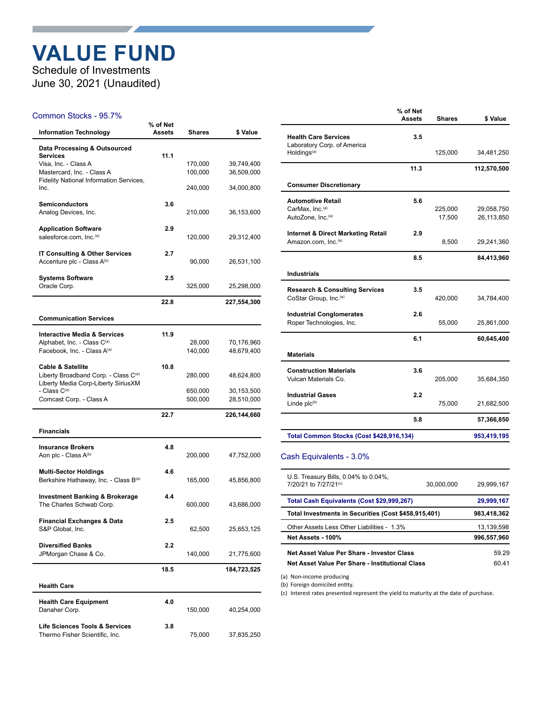### **VALUE FUND**

Schedule of Investments June 30, 2021 (Unaudited)

#### Common Stocks - 95.7%

| <b>Information Technology</b>                                                                                           | % of Net<br>Assets | Shares             | \$ Value                 |
|-------------------------------------------------------------------------------------------------------------------------|--------------------|--------------------|--------------------------|
| Data Processing & Outsourced<br><b>Services</b>                                                                         | 11.1               |                    |                          |
| Visa, Inc. - Class A<br>Mastercard, Inc. - Class A                                                                      |                    | 170,000<br>100,000 | 39,749,400<br>36,509,000 |
| <b>Fidelity National Information Services,</b><br>Inc.                                                                  |                    | 240,000            | 34,000,800               |
| <b>Semiconductors</b><br>Analog Devices, Inc.                                                                           | 3.6                | 210,000            | 36,153,600               |
| <b>Application Software</b><br>salesforce.com, Inc. <sup>(a)</sup>                                                      | 2.9                | 120,000            | 29,312,400               |
| <b>IT Consulting &amp; Other Services</b><br>Accenture plc - Class A(b)                                                 | 2.7                | 90,000             | 26,531,100               |
| <b>Systems Software</b><br>Oracle Corp.                                                                                 | 2.5                | 325,000            | 25,298,000               |
|                                                                                                                         | 22.8               |                    | 227,554,300              |
| <b>Communication Services</b>                                                                                           |                    |                    |                          |
| <b>Interactive Media &amp; Services</b><br>Alphabet, Inc. - Class C(a)<br>Facebook, Inc. - Class A(a)                   | 11.9               | 28,000<br>140,000  | 70,176,960<br>48,679,400 |
| <b>Cable &amp; Satellite</b><br>Liberty Broadband Corp. - Class C <sup>(a)</sup><br>Liberty Media Corp-Liberty SiriusXM | 10.8               | 280,000            | 48,624,800               |
| - Class C(a)<br>Comcast Corp. - Class A                                                                                 |                    | 650,000<br>500,000 | 30,153,500<br>28,510,000 |
|                                                                                                                         | 22.7               |                    | 226,144,660              |
| <b>Financials</b>                                                                                                       |                    |                    |                          |
| <b>Insurance Brokers</b><br>Aon plc - Class A <sup>(b)</sup>                                                            | 4.8                | 200,000            | 47,752,000               |
| <b>Multi-Sector Holdings</b><br>Berkshire Hathaway, Inc. - Class B(a)                                                   | 4.6                | 165,000            | 45,856,800               |
| <b>Investment Banking &amp; Brokerage</b><br>The Charles Schwab Corp.                                                   | 4.4                | 600,000            | 43,686,000               |
| Financial Exchanges & Data<br>S&P Global, Inc.                                                                          | 2.5                | 62,500             | 25,653,125               |
| <b>Diversified Banks</b><br>JPMorgan Chase & Co.                                                                        | 2.2                | 140,000            | 21,775,600               |
|                                                                                                                         | 18.5               |                    | 184,723,525              |
| <b>Health Care</b>                                                                                                      |                    |                    |                          |
| <b>Health Care Equipment</b><br>Danaher Corp.                                                                           | 4.0                | 150,000            | 40,254,000               |
| <b>Life Sciences Tools &amp; Services</b><br>Thermo Fisher Scientific, Inc.                                             | 3.8                | 75,000             | 37,835,250               |

|                                                            | % of Net<br><b>Assets</b> | <b>Shares</b>     | \$ Value                 |
|------------------------------------------------------------|---------------------------|-------------------|--------------------------|
| <b>Health Care Services</b><br>Laboratory Corp. of America | 3.5                       |                   |                          |
| Holdings <sup>(a)</sup>                                    |                           | 125,000           | 34,481,250               |
|                                                            | 11.3                      |                   | 112,570,500              |
| <b>Consumer Discretionary</b>                              |                           |                   |                          |
| <b>Automotive Retail</b>                                   | 5.6                       |                   |                          |
| CarMax. Inc. <sup>(a)</sup><br>AutoZone, Inc.(a)           |                           | 225,000<br>17,500 | 29,058,750<br>26,113,850 |
|                                                            |                           |                   |                          |
| <b>Internet &amp; Direct Marketing Retail</b>              | 2.9                       |                   |                          |
| Amazon.com, Inc.(a)                                        |                           | 8,500             | 29,241,360               |
|                                                            | 8.5                       |                   | 84,413,960               |
| Industrials                                                |                           |                   |                          |
| <b>Research &amp; Consulting Services</b>                  | 3.5                       |                   |                          |
| CoStar Group, Inc. <sup>(a)</sup>                          |                           | 420,000           | 34,784,400               |
| <b>Industrial Conglomerates</b>                            | 2.6                       |                   |                          |
| Roper Technologies, Inc.                                   |                           | 55,000            | 25,861,000               |
|                                                            | 6.1                       |                   | 60,645,400               |
| <b>Materials</b>                                           |                           |                   |                          |
| <b>Construction Materials</b>                              | 3.6                       |                   |                          |
| Vulcan Materials Co.                                       |                           | 205,000           | 35,684,350               |
| <b>Industrial Gases</b>                                    | 2.2                       |                   |                          |
| Linde plc <sup>(b)</sup>                                   |                           | 75,000            | 21,682,500               |
|                                                            | 5.8                       |                   | 57,366,850               |
|                                                            |                           |                   |                          |

#### Cash Equivalents - 3.0%

 $\overline{a}$ 

| U.S. Treasury Bills, 0.04% to 0.04%,<br>7/20/21 to 7/27/21 <sup>(c)</sup> | 30.000.000 | 29.999.167  |
|---------------------------------------------------------------------------|------------|-------------|
| Total Cash Equivalents (Cost \$29,999,267)                                |            | 29,999,167  |
| Total Investments in Securities (Cost \$458,915,401)                      |            | 983.418.362 |
| Other Assets Less Other Liabilities - 1.3%                                |            | 13,139,598  |
| Net Assets - 100%                                                         |            | 996,557,960 |
| Net Asset Value Per Share - Investor Class                                |            | 59 29       |
| Net Asset Value Per Share - Institutional Class                           |            | 6041        |

(a) Non-income producing

(b) Foreign domiciled entity.

(c) Interest rates presented represent the yield to maturity at the date of purchase.